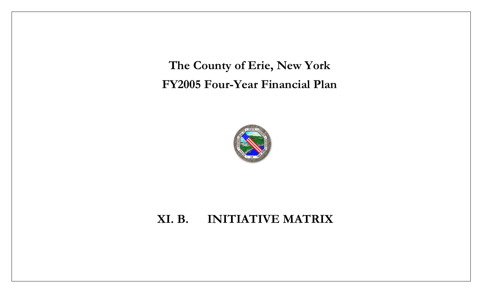**The County of Erie, New York FY2005 Four-Year Financial Plan**



## **XI. B. INITIATIVE MATRIX**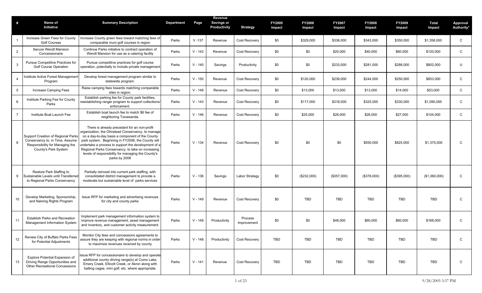| #               | Name of<br>Initiative                                                                                                            | <b>Summary Description</b>                                                                                                                                                                                                                                                                                                                                                                   | <b>Department</b> | Page      | Revenue<br><b>Savings or</b><br>Productivity | <b>Strategy</b>        | <b>FY2005</b><br>Impact | <b>FY2006</b><br>Impact | <b>FY2007</b><br>Impact | <b>FY2008</b><br>Impact | <b>FY2009</b><br>Impact | Total<br>Impact | <b>Approval</b><br>Authority* |
|-----------------|----------------------------------------------------------------------------------------------------------------------------------|----------------------------------------------------------------------------------------------------------------------------------------------------------------------------------------------------------------------------------------------------------------------------------------------------------------------------------------------------------------------------------------------|-------------------|-----------|----------------------------------------------|------------------------|-------------------------|-------------------------|-------------------------|-------------------------|-------------------------|-----------------|-------------------------------|
|                 | Increase Green Fees for County<br><b>Golf Courses</b>                                                                            | Increase County green fees toward matching fees of<br>comparable muni golf courses in region                                                                                                                                                                                                                                                                                                 | Parks             | $V - 137$ | Revenue                                      | Cost Recovery          | \$0                     | \$329,000               | \$336,000               | \$343,000               | \$350,000               | \$1,358,000     | C                             |
| $\overline{2}$  | Secure Wendt Mansion<br>Concessionaire                                                                                           | Continue Parks initiative to contract operation of<br>Wendt Mansion for use as a catering facility                                                                                                                                                                                                                                                                                           | Parks             | $V - 143$ | Revenue                                      | Cost Recovery          | \$0                     | \$0                     | \$20,000                | \$40,000                | \$60,000                | \$120,000       | C                             |
| 3               | Pursue Competitive Practices for<br><b>Golf Course Operation</b>                                                                 | Pursue competitive practices for golf course<br>operation, potentially to include private management                                                                                                                                                                                                                                                                                         | Parks             | $V - 140$ | Savings                                      | Productivity           | \$0                     | \$0                     | \$233,000               | \$281,000               | \$288,000               | \$802,000       | U                             |
| $\overline{4}$  | Institute Active Forest Management<br>Program                                                                                    | Develop forest management program similar to<br>statewide program.                                                                                                                                                                                                                                                                                                                           | Parks             | $V - 150$ | Revenue                                      | Cost Recovery          | \$0                     | \$120,000               | \$239,000               | \$244,000               | \$250,000               | \$853,000       | $\mathsf{C}$                  |
| $5\overline{)}$ | Increase Camping Fees                                                                                                            | Raise camping fees towards matching comparable<br>sites in region.                                                                                                                                                                                                                                                                                                                           | Parks             | $V - 148$ | Revenue                                      | Cost Recovery          | \$0                     | \$13,000                | \$13,000                | \$13,000                | \$14,000                | \$53,000        | C                             |
| 6               | Institute Parking Fee for County<br>Parks                                                                                        | Establish parking fee for County park facilities,<br>reestablishing ranger program to support collections/<br>enforcement.                                                                                                                                                                                                                                                                   | Parks             | $V - 143$ | Revenue                                      | Cost Recovery          | \$0                     | \$117,000               | \$318,000               | \$325,000               | \$330,000               | \$1,090,000     | $\mathsf{C}$                  |
| $\overline{7}$  | Institute Boat Launch Fee                                                                                                        | Establish boat launch fee to match \$6 fee of<br>neighboring Tonawanda.                                                                                                                                                                                                                                                                                                                      | Parks             | $V - 146$ | Revenue                                      | Cost Recovery          | \$0                     | \$25,000                | \$26,000                | \$26,000                | \$27,000                | \$104,000       | C                             |
| 8               | Support Creation of Regional Parks<br>Conservancy to, in Time, Assume<br>Responsibility for Managing the<br>County's Park System | There is already precedent for an non-profit<br>organization, the Olmstead Conservancy, to manage<br>on a day-to-day basis a component of the County<br>park system. Beginning in FY2006, the County will<br>undertake a process to support the development of a<br>Regional Parks Conservancy, to take on increasing<br>levels of responsibility for managing the County's<br>parks by 2008 | Parks             | $V - 134$ | Revenue                                      | Cost Recovery          | \$0                     | \$0                     | \$0                     | \$550,000               | \$825,000               | \$1,375,000     | C                             |
| 9               | Restore Park Staffing to<br>Sustainable Levels until Transferred<br>to Regional Parks Conservancy                                | Partially reinvest into current park staffing, with<br>consolidated district management to provide a<br>moderate but sustainable level of parks services                                                                                                                                                                                                                                     | Parks             | $V - 136$ | Savings                                      | Labor Strategy         | \$0                     | (\$232,000)             | (\$357,000)             | (\$376,000)             | (\$395,000)             | (\$1,360,000)   | C                             |
| 10              | Develop Marketing, Sponsorship,<br>and Naming Rights Program                                                                     | Issue RFP for marketing and advertising revenues<br>for city and county parks                                                                                                                                                                                                                                                                                                                | Parks             | $V - 149$ | Revenue                                      | Cost Recovery          | \$0                     | <b>TBD</b>              | <b>TBD</b>              | <b>TBD</b>              | <b>TBD</b>              | <b>TBD</b>      | C                             |
| 11              | <b>Establish Parks and Recreation</b><br>Management Information System                                                           | Implement park management information system to<br>improve revenue management, asset management<br>and inventory, and customer activity measurement.                                                                                                                                                                                                                                         | Parks             | $V - 149$ | Productivity                                 | Process<br>Improvement | \$0                     | \$0                     | \$48,000                | \$60,000                | \$60,000                | \$168,000       | C                             |
| 12              | Review City of Buffalo Parks Fees<br>for Potential Adjustments                                                                   | Monitor City fees and concessions agreements to<br>assure they are keeping with regional norms in order<br>to maximize revenues received by county                                                                                                                                                                                                                                           | Parks             | $V - 148$ | Productivity                                 | Cost Recovery          | <b>TBD</b>              | <b>TBD</b>              | <b>TBD</b>              | <b>TBD</b>              | <b>TBD</b>              | <b>TBD</b>      | C                             |
| 13              | <b>Explore Potential Expansion of</b><br>Driving Range Opportunities and<br>Other Recreational Concessions                       | Issue RFP for concessionaire to develop and operate<br>additional county driving range(s) at Como Lake,<br>Emery Creek, Ellicott Creek, or Akron along with<br>batting cages, mini golf, etc. where appropriate.                                                                                                                                                                             | Parks             | $V - 141$ | Revenue                                      | Cost Recovery          | TBD                     | TBD                     | TBD                     | TBD                     | TBD                     | <b>TBD</b>      | C                             |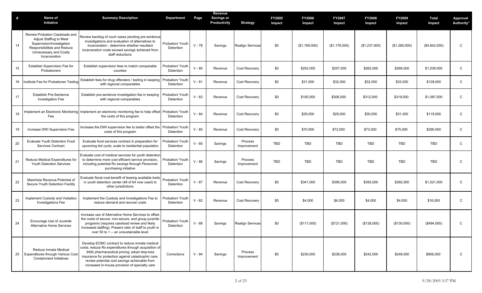| #  | Name of<br>Initiative                                                                                                                                            | <b>Summary Description</b>                                                                                                                                                                                                                                                                                       | <b>Department</b>                    | Page     | Revenue<br>Savings or<br>Productivity | <b>Strategy</b>         | <b>FY2005</b><br>Impact | <b>FY2006</b><br>Impact | <b>FY2007</b><br>Impact | <b>FY2008</b><br>Impact | FY2009<br>Impact | Total<br>Impact | Approval<br>Authority* |
|----|------------------------------------------------------------------------------------------------------------------------------------------------------------------|------------------------------------------------------------------------------------------------------------------------------------------------------------------------------------------------------------------------------------------------------------------------------------------------------------------|--------------------------------------|----------|---------------------------------------|-------------------------|-------------------------|-------------------------|-------------------------|-------------------------|------------------|-----------------|------------------------|
| 14 | Review Probation Caseloads and<br>Adjust Staffing to Meet<br>Supervision/Investigation<br>Responsibilities and Reduce<br>Unnecessary and Costly<br>Incarceration | Review backlog of court cases pending pre-sentence<br>investigations and evaluation of alternatives to<br>incarceration - determine whether resultant<br>incarceration costs exceed savings achieved from<br>staff reductions                                                                                    | Probation/ Youth<br>Detention        | $V - 78$ | Savings                               | <b>Realign Services</b> | \$0                     | (\$1,169,000)           | (\$1,176,000)           | (\$1,237,000)           | (\$1,260,000)    | (\$4,842,000)   | C                      |
| 15 | Establish Supervision Fee for<br>Probationers                                                                                                                    | Establish supervision fees to match comparable<br>counties                                                                                                                                                                                                                                                       | Probation/ Youth<br>Detention        | $V - 80$ | Revenue                               | Cost Recovery           | \$0                     | \$252,000               | \$257,000               | \$262,000               | \$268,000        | \$1,039,000     | C                      |
| 16 | Institute Fee for Probationer Testing                                                                                                                            | Establish fees for drug offenders / testing in keeping<br>with regional comparables                                                                                                                                                                                                                              | Probation/ Youth<br>Detention        | $V - 81$ | Revenue                               | Cost Recovery           | \$0                     | \$31,000                | \$32,000                | \$32,000                | \$33,000         | \$128,000       | C                      |
| 17 | <b>Establish Pre-Sentence</b><br><b>Investigation Fee</b>                                                                                                        | Establish pre-sentence investigation fee in keeping<br>with regional comparables                                                                                                                                                                                                                                 | Probation/ Youth<br>Detention        | $V - 83$ | Revenue                               | Cost Recovery           | \$0                     | \$150,000               | \$306,000               | \$312,000               | \$319,000        | \$1,087,000     | C                      |
| 18 | Fee                                                                                                                                                              | Implement an Electronic Monitoring Implement an electronic monitoring fee to help offset<br>the costs of this program                                                                                                                                                                                            | Probation/ Youth<br>Detention        | $V - 84$ | Revenue                               | <b>Cost Recovery</b>    | \$0                     | \$29,000                | \$29,000                | \$30,000                | \$31,000         | \$119,000       | C                      |
| 19 | Increase DWI Supervision Fee                                                                                                                                     | Increase the DWI supervision fee to better offset the<br>costs of this program                                                                                                                                                                                                                                   | Probation/ Youth<br>Detention        | $V - 85$ | Revenue                               | <b>Cost Recovery</b>    | \$0                     | \$70,000                | \$72,000                | \$73,000                | \$75,000         | \$290,000       | C                      |
| 20 | <b>Evaluate Youth Detention Food</b><br><b>Services Contract</b>                                                                                                 | Evaluate food services contract in preparation for<br>upcoming bid cycle; scale to residential population                                                                                                                                                                                                        | <b>Probation/ Youth</b><br>Detention | $V - 85$ | Savings                               | Process<br>Improvement  | <b>TBD</b>              | TBD                     | TBD                     | TBD                     | TBD              | <b>TBD</b>      | $\mathsf C$            |
| 21 | Reduce Medical Expenditures for<br>Youth Detention Services                                                                                                      | Evaluate cost of medical services for youth detention<br>to determine more cost efficient service provision,<br>including potential Rx savings through Personnel<br>purchasing initiative                                                                                                                        | Probation/ Youth<br>Detention        | $V - 86$ | Savings                               | Process<br>Improvement  | <b>TBD</b>              | <b>TBD</b>              | TBD                     | <b>TBD</b>              | TBD              | <b>TBD</b>      | C                      |
| 22 | Maximize Revenue Potential of<br>Secure Youth Detention Facility                                                                                                 | Evaluate fiscal cost-benefit of leasing available beds<br>in youth detention center (48 of 64 now used) to<br>other jurisdictions                                                                                                                                                                                | Probation/ Youth<br>Detention        | $V - 87$ | Revenue                               | <b>Cost Recovery</b>    | \$0                     | \$341,000               | \$395,000               | \$393,000               | \$392,000        | \$1,521,000     | C                      |
| 23 | Implement Custody and Visitation<br><b>Investigations Fee</b>                                                                                                    | Implement the Custody and Investigations Fee to<br>reduce demand and recover costs                                                                                                                                                                                                                               | Probation/ Youth<br>Detention        | $V - 82$ | Revenue                               | <b>Cost Recovery</b>    | \$0                     | \$4,000                 | \$4,000                 | \$4,000                 | \$4,000          | \$16,000        | C                      |
| 24 | Encourage Use of Juvenile<br>Alternative Home Services                                                                                                           | Increase use of Alternative Home Services to offset<br>the costs of secure, non-secure, and group juvenile<br>programs (requires caseload review and likely<br>increased staffing). Present ratio of staff to youth is<br>over 50 to 1 -- an unsustainable level                                                 | Probation/ Youth<br>Detention        | $V - 88$ | Savings                               | <b>Realign Services</b> | \$0                     | (\$117,000)             | (\$121,000)             | (\$126,000)             | (\$130,000)      | (\$494,000)     | C                      |
| 25 | Reduce Inmate Medical<br>Expenditures through Various Cost<br><b>Containment Initiatives</b>                                                                     | Develop ECMC contract to reduce inmate medical<br>costs; reduce Rx expenditures through acquisition of<br>340b pharmaceutical pricing; adopt stop-loss<br>insurance for protection against catastrophic care;<br>review potential cost savings achievable from<br>increased in-house provision of specialty care | Corrections                          | $V - 94$ | Savings                               | Process<br>Improvement  | \$0                     | \$230,000               | \$236,000               | \$242,000               | \$248,000        | \$956,000       | C                      |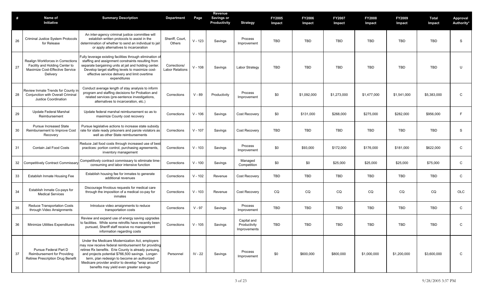| #  | Name of<br>Initiative                                                                                              | <b>Summary Description</b>                                                                                                                                                                                                                                                                                                                                          | <b>Department</b>                      | Page      | Revenue<br><b>Savings or</b><br>Productivity | <b>Strategy</b>                             | <b>FY2005</b><br>Impact | <b>FY2006</b><br>Impact | <b>FY2007</b><br>Impact | <b>FY2008</b><br>Impact | FY2009<br>Impact | Total<br>Impact | Approval<br>Authority* |
|----|--------------------------------------------------------------------------------------------------------------------|---------------------------------------------------------------------------------------------------------------------------------------------------------------------------------------------------------------------------------------------------------------------------------------------------------------------------------------------------------------------|----------------------------------------|-----------|----------------------------------------------|---------------------------------------------|-------------------------|-------------------------|-------------------------|-------------------------|------------------|-----------------|------------------------|
| 26 | Criminal Justice System Protocols<br>for Release                                                                   | An inter-agency criminal justice committee will<br>establish written protocols to assist in the<br>determination of whether to send an individual to jail<br>or apply alternatives to incarceration                                                                                                                                                                 | Sheriff, Court,<br>Others              | $V - 123$ | Savings                                      | Process<br>Improvement                      | TBD                     | TBD                     | <b>TBD</b>              | TBD                     | TBD              | <b>TBD</b>      | S                      |
| 27 | Realign Workforces in Corrections<br>Facility and Holding Center to<br>Maximize Cost-Effective Service<br>Delivery | Fully leverage existing facilities through elimination of<br>staffing and assignment constraints resulting from<br>separate bargaining units at jail and holding center<br>Develop target staffing levels to maximize cost-<br>effective service delivery and limit overtime<br>expenditures                                                                        | Corrections/<br><b>Labor Relations</b> | $V - 108$ | Savings                                      | <b>Labor Strategy</b>                       | TBD                     | TBD                     | <b>TBD</b>              | <b>TBD</b>              | <b>TBD</b>       | TBD             | U                      |
| 28 | Review Inmate Trends for County in<br>Conjunction with Overall Criminal<br>Justice Coordination                    | Conduct average length of stay analysis to inform<br>program and staffing decisions for Probation and<br>related services (pre-sentence investigations,<br>alternatives to incarceration, etc.)                                                                                                                                                                     | Corrections                            | $V - 89$  | Productivity                                 | Process<br>Improvement                      | \$0                     | \$1,092,000             | \$1,273,000             | \$1,477,000             | \$1,541,000      | \$5,383,000     | C                      |
| 29 | Update Federal Marshal<br>Reimbursement                                                                            | Update federal marshal reimbursement so as to<br>maximize County cost recovery                                                                                                                                                                                                                                                                                      | Corrections                            | $V - 106$ | Savings                                      | Cost Recovery                               | \$0                     | \$131,000               | \$268,000               | \$275,000               | \$282,000        | \$956,000       | F                      |
| 30 | Pursue Increased State<br>Reimbursement to Improve Cost<br>Recovery                                                | Pursue legislative actions to increase state subsidy<br>rate for state ready prisoners and parole violators as<br>well as other State reimbursements                                                                                                                                                                                                                | Corrections                            | $V - 107$ | Savings                                      | Cost Recovery                               | TBD                     | <b>TBD</b>              | <b>TBD</b>              | TBD                     | TBD              | <b>TBD</b>      | S                      |
| 31 | Contain Jail Food Costs                                                                                            | Reduce Jail food costs through increased use of best<br>practices: portion control, purchasing agreements,<br>inventory management                                                                                                                                                                                                                                  | Corrections                            | $V - 103$ | Savings                                      | Process<br>Improvement                      | \$0                     | \$93,000                | \$172,000               | \$176,000               | \$181,000        | \$622,000       | ${\rm C}$              |
| 32 | <b>Competitively Contract Commissary</b>                                                                           | Competitively contract commissary to eliminate time<br>consuming and labor intensive function                                                                                                                                                                                                                                                                       | Corrections                            | $V - 100$ | Savings                                      | Managed<br>Competition                      | \$0                     | \$0                     | \$25,000                | \$25,000                | \$25,000         | \$75,000        | $\mathsf{C}$           |
| 33 | Establish Inmate Housing Fee                                                                                       | Establish housing fee for inmates to generate<br>additional revenues                                                                                                                                                                                                                                                                                                | Corrections                            | $V - 102$ | Revenue                                      | Cost Recovery                               | <b>TBD</b>              | <b>TBD</b>              | <b>TBD</b>              | <b>TBD</b>              | TBD              | <b>TBD</b>      | $\mathsf{C}$           |
| 34 | Establish Inmate Co-pays for<br><b>Medical Services</b>                                                            | Discourage frivolous requests for medical care<br>through the imposition of a medical co-pay for<br>inmates                                                                                                                                                                                                                                                         | Corrections                            | $V - 103$ | Revenue                                      | Cost Recovery                               | CQ                      | CQ                      | CQ                      | CQ                      | CQ               | CQ              | OLC                    |
| 35 | Reduce Transportation Costs<br>through Video Arraignments                                                          | Introduce video arraignments to reduce<br>transportation costs                                                                                                                                                                                                                                                                                                      | Corrections                            | $V - 97$  | Savings                                      | Process<br>Improvement                      | TBD                     | TBD                     | <b>TBD</b>              | TBD                     | TBD              | TBD             | C                      |
| 36 | Minimize Utilities Expenditures                                                                                    | Review and expand use of energy saving upgrades<br>to facilities. While some retrofits have recently been<br>pursued, Sheriff staff receive no management<br>information regarding costs                                                                                                                                                                            | Corrections                            | $V - 105$ | Savings                                      | Capital and<br>Productivity<br>Improvements | TBD                     | TBD                     | <b>TBD</b>              | TBD                     | TBD              | TBD             | C                      |
| 37 | Pursue Federal Part D<br>Reimbursement for Providing<br>Retiree Prescription Drug Benefit                          | Under the Medicare Modernization Act, employers<br>may now receive federal reimbursement for providing<br>retiree Rx benefits. Erie County is already pursuing.<br>and projects potential \$766,500 savings. Longer-<br>term, plan redesign to become an authorized<br>Medicare provider and/or to develop "wrap around"<br>benefits may yield even greater savings | Personnel                              | IV - 22   | Savings                                      | Process<br>Improvement                      | \$0                     | \$600,000               | \$800,000               | \$1,000,000             | \$1,200,000      | \$3,600,000     | $\mathsf{C}$           |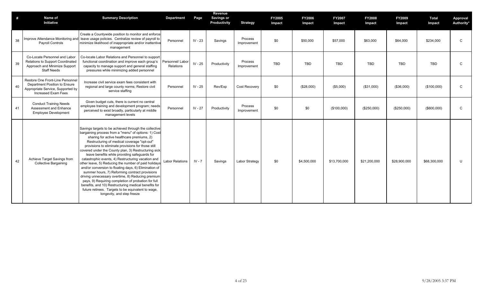| #  | Name of<br>Initiative                                                                                                         | <b>Summary Description</b>                                                                                                                                                                                                                                                                                                                                                                                                                                                                                                                                                                                                                                                                                                                                                                                                                                 | Department                    | Page      | Revenue<br><b>Savings or</b><br>Productivity | <b>Strategy</b>        | <b>FY2005</b><br>Impact | <b>FY2006</b><br>Impact | FY2007<br>Impact | <b>FY2008</b><br>Impact | FY2009<br>Impact | <b>Total</b><br>Impact | Approval<br>Authority* |
|----|-------------------------------------------------------------------------------------------------------------------------------|------------------------------------------------------------------------------------------------------------------------------------------------------------------------------------------------------------------------------------------------------------------------------------------------------------------------------------------------------------------------------------------------------------------------------------------------------------------------------------------------------------------------------------------------------------------------------------------------------------------------------------------------------------------------------------------------------------------------------------------------------------------------------------------------------------------------------------------------------------|-------------------------------|-----------|----------------------------------------------|------------------------|-------------------------|-------------------------|------------------|-------------------------|------------------|------------------------|------------------------|
| 38 | <b>Payroll Controls</b>                                                                                                       | Create a Countywide position to monitor and enforce<br>Improve Attendance Monitoring and leave usage policies. Centralize review of payroll to<br>minimize likelihood of inappropriate and/or inattentive<br>management                                                                                                                                                                                                                                                                                                                                                                                                                                                                                                                                                                                                                                    | Personnel                     | $IV - 23$ | Savings                                      | Process<br>Improvement | \$0                     | \$50,000                | \$57,000         | \$63,000                | \$64,000         | \$234.000              | $\mathsf{C}$           |
| 39 | Co-Locate Personnel and Labor<br>Relations to Support Coordinated<br>Approach and Minimize Support<br><b>Staff Needs</b>      | Co-locate Labor Relations and Personnel to support<br>functional coordination and improve each group's<br>capacity to manage support and general staffing<br>pressures while minimizing added personnel                                                                                                                                                                                                                                                                                                                                                                                                                                                                                                                                                                                                                                                    | Personnel/ Labor<br>Relations | IV - 25   | Productivity                                 | Process<br>Improvement | TBD                     | <b>TBD</b>              | <b>TBD</b>       | <b>TBD</b>              | <b>TBD</b>       | <b>TBD</b>             | C                      |
| 40 | Restore One Front-Line Personnel<br>Department Position to Ensure<br>Appropriate Service, Supported by<br>Increased Exam Fees | Increase civil service exam fees consistent with<br>regional and large county norms; Restore civil<br>service staffing                                                                                                                                                                                                                                                                                                                                                                                                                                                                                                                                                                                                                                                                                                                                     | Personnel                     | IV - 25   | Rev/Exp                                      | Cost Recovery          | \$0                     | (\$28,000)              | (\$5,000)        | (\$31,000)              | (\$36,000)       | (\$100,000)            | C                      |
| 41 | <b>Conduct Training Needs</b><br>Assessment and Enhance<br><b>Employee Development</b>                                        | Given budget cuts, there is current no central<br>employee training and development program; needs<br>perceived to exist broadly, particularly at middle<br>management levels                                                                                                                                                                                                                                                                                                                                                                                                                                                                                                                                                                                                                                                                              | Personnel                     | $IV - 27$ | Productivity                                 | Process<br>Improvement | \$0                     | \$0                     | (\$100,000)      | (\$250,000)             | (\$250,000)      | (\$600,000)            | C                      |
| 42 | Achieve Target Savings from<br><b>Collective Bargaining</b>                                                                   | Savings targets to be achieved through the collective<br>bargaining process from a "menu" of options: 1) Cost<br>sharing for active healthcare premiums, 2)<br>Restructuring of medical coverage "opt-out"<br>provisions to eliminate provisions for those still<br>covered under the County plan, 3) Restructuring sick<br>leave benefits while providing safequards for<br>catastrophic events, 4) Restructuring vacation and<br>other leave, 5) Reducing the number of paid holidays<br>and/or conversion to floating days, 6) Elimination of<br>summer hours, 7) Reforming contract provisions<br>driving unnecessary overtime, 8) Reducing premium<br>pays, 9) Requiring completion of probation for full<br>benefits, and 10) Restructuring medical benefits for<br>future retirees. Targets to be equivalent to wage,<br>longevity, and step freeze | <b>Labor Relations</b>        | $IV - 7$  | Savings                                      | Labor Strategy         | \$0                     | \$4,500,000             | \$13,700,000     | \$21,200,000            | \$28,900,000     | \$68,300,000           | U                      |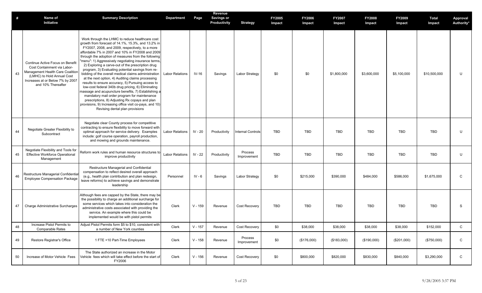| #  | Name of<br>Initiative                                                                                                                                                                       | <b>Summary Description</b>                                                                                                                                                                                                                                                                                                                                                                                                                                                                                                                                                                                                                                                                                                                                                                                                                                                                                           | Department             | Page      | Revenue<br><b>Savings or</b><br>Productivity | <b>Strategy</b>          | <b>FY2005</b><br>Impact | <b>FY2006</b><br>Impact | <b>FY2007</b><br>Impact | <b>FY2008</b><br>Impact | <b>FY2009</b><br>Impact | Total<br>Impact | Approval<br>Authority* |
|----|---------------------------------------------------------------------------------------------------------------------------------------------------------------------------------------------|----------------------------------------------------------------------------------------------------------------------------------------------------------------------------------------------------------------------------------------------------------------------------------------------------------------------------------------------------------------------------------------------------------------------------------------------------------------------------------------------------------------------------------------------------------------------------------------------------------------------------------------------------------------------------------------------------------------------------------------------------------------------------------------------------------------------------------------------------------------------------------------------------------------------|------------------------|-----------|----------------------------------------------|--------------------------|-------------------------|-------------------------|-------------------------|-------------------------|-------------------------|-----------------|------------------------|
| 43 | Continue Active Focus on Benefit<br>Cost Containment via Labor-<br>Management Health Care Coalition<br>(LMHC) to Hold Annual Cost<br>Increases at or Below 7% by 2007<br>and 10% Thereafter | Work through the LHMC to reduce healthcare cost<br>growth from forecast of 14.1%, 15.3%, and 13.2% in<br>FY2007, 2008, and 2009, respectively, to a more<br>affordable 7% in 2007 and 10% in FY2008 and 2009<br>through the adoption of measures from the following<br>"menu": 1) Aggressively negotiating insurance terms,<br>2) Exploring a carve-out of the prescription drug<br>program, 3) Evaluating potential savings from re-<br>bidding of the overall medical claims administration<br>at the next option, 4) Auditing claims processing<br>results to ensure accuracy, 5) Pursuing access to<br>low-cost federal 340b drug pricing, 6) Eliminating<br>massage and acupuncture benefits, 7) Establishing a<br>mandatory mail order program for maintenance<br>prescriptions, 8) Adjusting Rx copays and plan<br>provisions, 9) Increasing office visit co-pays, and 10)<br>Revising dental plan provisions | <b>Labor Relations</b> | $IV-16$   | Savings                                      | Labor Strategy           | \$0                     | \$0                     | \$1,800,000             | \$3,600,000             | \$5,100,000             | \$10,500,000    | U                      |
| 44 | Negotiate Greater Flexibility to<br>Subcontract                                                                                                                                             | Negotiate clear County process for competitive<br>contracting to ensure flexibility to move forward with<br>optimal approach for service delivery. Examples<br>include: golf course operation, payroll production,<br>and mowing and grounds maintenance.                                                                                                                                                                                                                                                                                                                                                                                                                                                                                                                                                                                                                                                            | <b>Labor Relations</b> | IV - 20   | Productivity                                 | <b>Internal Controls</b> | <b>TBD</b>              | TBD                     | <b>TBD</b>              | TBD                     | <b>TBD</b>              | TBD             | U                      |
| 45 | Negotiate Flexibility and Tools for<br><b>Effective Workforce Operational</b><br>Management                                                                                                 | Reform work rules and human resource structures to<br>improve productivity                                                                                                                                                                                                                                                                                                                                                                                                                                                                                                                                                                                                                                                                                                                                                                                                                                           | <b>Labor Relations</b> | IV - 22   | Productivity                                 | Process<br>Improvement   | <b>TBD</b>              | TBD                     | TBD                     | TBD                     | TBD                     | TBD             | U                      |
| 46 | Restructure Managerial Confidential<br><b>Employee Compensation Package</b>                                                                                                                 | Restructure Managerial and Confidential<br>compensation to reflect desired overall approach<br>(e.g., health plan contribution and plan redesign,<br>leave reforms) to achieve savings and demonstrate<br>leadership                                                                                                                                                                                                                                                                                                                                                                                                                                                                                                                                                                                                                                                                                                 | Personnel              | $IV - 6$  | Savings                                      | Labor Strategy           | \$0                     | \$215,000               | \$390,000               | \$484,000               | \$586,000               | \$1,675,000     | C                      |
| 47 | <b>Charge Administrative Surcharges</b>                                                                                                                                                     | Although fees are capped by the State, there may be<br>the possibility to charge an additional surcharge for<br>some services which takes into consideration the<br>administrative costs associated with providing the<br>service. An example where this could be<br>implemented would be with pistol permits                                                                                                                                                                                                                                                                                                                                                                                                                                                                                                                                                                                                        | Clerk                  | $V - 159$ | Revenue                                      | Cost Recovery            | <b>TBD</b>              | TBD                     | <b>TBD</b>              | <b>TBD</b>              | <b>TBD</b>              | <b>TBD</b>      | S                      |
| 48 | Increase Pistol Permits to<br><b>Comparable Rates</b>                                                                                                                                       | Adjust Pistol Permits form \$5 to \$10, consistent with<br>a number of New York counties                                                                                                                                                                                                                                                                                                                                                                                                                                                                                                                                                                                                                                                                                                                                                                                                                             | Clerk                  | $V - 157$ | Revenue                                      | Cost Recovery            | \$0                     | \$38,000                | \$38,000                | \$38,000                | \$38,000                | \$152,000       | C                      |
| 49 | Restore Registrar's Office                                                                                                                                                                  | 1 FTE +10 Part-Time Employees                                                                                                                                                                                                                                                                                                                                                                                                                                                                                                                                                                                                                                                                                                                                                                                                                                                                                        | Clerk                  | $V - 158$ | Revenue                                      | Process<br>Improvement   | \$0                     | (\$176,000)             | (\$183,000)             | (\$190,000)             | (\$201,000)             | (\$750,000)     | $\mathsf{C}$           |
| 50 | Increase of Motor Vehicle Fees                                                                                                                                                              | The State authorized an increase in the Motor<br>Vehicle fees which will take effect before the start of<br>FY2006                                                                                                                                                                                                                                                                                                                                                                                                                                                                                                                                                                                                                                                                                                                                                                                                   | Clerk                  | $V - 156$ | Revenue                                      | Cost Recovery            | \$0                     | \$800,000               | \$820,000               | \$830,000               | \$840,000               | \$3,290,000     | $\mathsf{C}$           |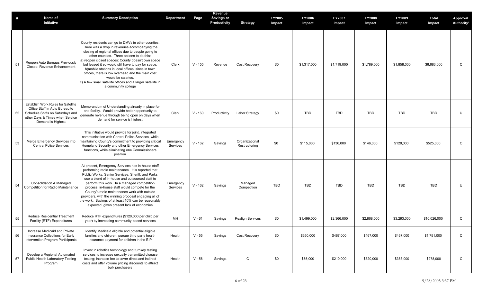| #  | Name of<br>Initiative                                                                                                                                                   | <b>Summary Description</b>                                                                                                                                                                                                                                                                                                                                                                                                                                                                                                              | <b>Department</b>     | Page      | Revenue<br><b>Savings or</b><br>Productivity | <b>Strategy</b>                 | <b>FY2005</b><br>Impact | <b>FY2006</b><br>Impact | <b>FY2007</b><br>Impact | <b>FY2008</b><br>Impact | <b>FY2009</b><br>Impact | <b>Total</b><br>Impact | Approval<br>Authority* |
|----|-------------------------------------------------------------------------------------------------------------------------------------------------------------------------|-----------------------------------------------------------------------------------------------------------------------------------------------------------------------------------------------------------------------------------------------------------------------------------------------------------------------------------------------------------------------------------------------------------------------------------------------------------------------------------------------------------------------------------------|-----------------------|-----------|----------------------------------------------|---------------------------------|-------------------------|-------------------------|-------------------------|-------------------------|-------------------------|------------------------|------------------------|
| 51 | Reopen Auto Bureaus Previously<br>Closed: Revenue Enhancement                                                                                                           | County residents can go to DMVs in other counties.<br>There was a drop in revenues accompanying the<br>closing of regional offices due to people going to<br>other counties. Three options to do this:<br>a) reopen closed spaces: County doesn't own space<br>but leased it so would still have to pay for space.<br>b) mobile stations in local offices: since in town<br>offices, there is low overhead and the main cost<br>would be salaries.<br>c) A few small satellite offices and a larger satellite in<br>a community college | Clerk                 | $V - 155$ | Revenue                                      | Cost Recovery                   | \$0                     | \$1,317,000             | \$1,719,000             | \$1,789,000             | \$1,858,000             | \$6,683,000            | $\mathsf{C}$           |
| 52 | <b>Establish Work Rules for Satellite</b><br>Office Staff in Auto Bureau to<br>Schedule Shifts on Saturdays and<br>other Days & Times when Service<br>Demand is Highest | Memorandum of Understanding already in place for<br>one facility. Would provide better opportunity to<br>generate revenue through being open on days when<br>demand for service is highest                                                                                                                                                                                                                                                                                                                                              | Clerk                 | $V - 160$ | Productivity                                 | <b>Labor Strategy</b>           | \$0                     | TBD                     | TBD                     | TBD                     | TBD                     | TBD                    | U                      |
| 53 | Merge Emergency Services into<br><b>Central Police Services</b>                                                                                                         | This initiative would provide for joint, integrated<br>communication with Central Police Services, while<br>maintaining County's commitment to providing critica<br>Homeland Security and other Emergency Services<br>functions, while eliminating one Commissioners<br>position                                                                                                                                                                                                                                                        | Emergency<br>Services | $V - 162$ | Savings                                      | Organizational<br>Restructuring | \$0                     | \$115,000               | \$136,000               | \$146,000               | \$128,000               | \$525,000              | C                      |
| 54 | <b>Consolidation &amp; Managed</b><br>Competition for Radio Maintenance                                                                                                 | At present, Emergency Services has in-house staff<br>performing radio maintenance. It is reported that<br>Public Works, Senior Services, Sheriff, and Parks<br>use a blend of in-house and outsourced staff to<br>perform this work. In a managed competition<br>process, in-house staff would compete for the<br>County's radio maintenance work with outside<br>providers, with the winning proposal engaging all of<br>the work. Savings of at least 10% can be reasonably<br>expected, given present lack of economies              | Emergency<br>Services | $V - 162$ | Savings                                      | Managed<br>Competition          | TBD                     | <b>TBD</b>              | <b>TBD</b>              | <b>TBD</b>              | <b>TBD</b>              | <b>TBD</b>             | U                      |
| 55 | <b>Reduce Residential Treatment</b><br>Facility (RTF) Expenditures                                                                                                      | Reduce RTF expenditures (\$120,000 per child per<br>year) by increasing community-based services                                                                                                                                                                                                                                                                                                                                                                                                                                        | MН                    | $V - 61$  | Savings                                      | <b>Realign Services</b>         | \$0                     | \$1,499,000             | \$2,366,000             | \$2,868,000             | \$3,293,000             | \$10,026,000           | $\mathsf{C}$           |
| 56 | Increase Medicaid and Private<br>Insurance Collections for Early<br>Intervention Program Participants                                                                   | Identify Medicaid eligible and potential eligible<br>families and children; pursue third party health<br>insurance payment for children in the EIP                                                                                                                                                                                                                                                                                                                                                                                      | Health                | $V - 55$  | Savings                                      | Cost Recovery                   | \$0                     | \$350,000               | \$467,000               | \$467,000               | \$467,000               | \$1,751,000            | $\mathsf C$            |
| 57 | Develop a Regional Automated<br>Public Health Laboratory Testing<br>Program                                                                                             | Invest in robotics technology and turnkey testing<br>services to increase sexually transmitted disease<br>testing; increase fee to cover direct and indirect<br>costs and offer volume pricing discounts to attract<br>bulk purchasers                                                                                                                                                                                                                                                                                                  | Health                | $V - 56$  | Savings                                      | $\mathsf{C}$                    | \$0                     | \$65,000                | \$210,000               | \$320,000               | \$383,000               | \$978,000              | $\mathsf{C}$           |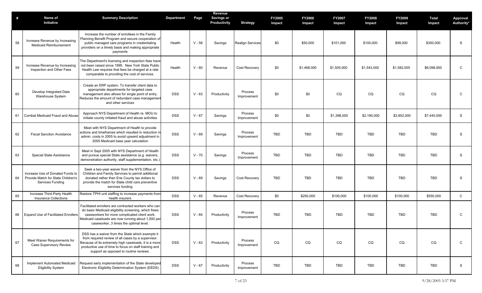| #  | Name of<br>Initiative                                                                      | <b>Summary Description</b>                                                                                                                                                                                                                                         | <b>Department</b> | Page     | Revenue<br>Savings or<br>Productivity | <b>Strategy</b>         | <b>FY2005</b><br>Impact | <b>FY2006</b><br>Impact | <b>FY2007</b><br>Impact | <b>FY2008</b><br>Impact | <b>FY2009</b><br>Impact | <b>Total</b><br>Impact | Approval<br>Authority* |
|----|--------------------------------------------------------------------------------------------|--------------------------------------------------------------------------------------------------------------------------------------------------------------------------------------------------------------------------------------------------------------------|-------------------|----------|---------------------------------------|-------------------------|-------------------------|-------------------------|-------------------------|-------------------------|-------------------------|------------------------|------------------------|
| 58 | Increase Revenue by Increasing<br><b>Medicaid Reimbursement</b>                            | Increase the number of enrollees in the Family<br>Planning Benefit Program and secure cooperation of<br>public managed care programs in credentialing<br>providers on a timely basis and making appropriate<br>payments                                            | Health            | $V - 58$ | Savings                               | <b>Realign Services</b> | \$0                     | \$50,000                | \$101,000               | \$100,000               | \$99,000                | \$350,000              | S                      |
| 59 | Increase Revenue by Increasing<br>Inspection and Other Fees                                | The Department's licensing and inspection fees have<br>not been raised since 1995. New York State Public<br>Health Law requires that fees be charged at a rate<br>comparable to providing the cost of services.                                                    | Health            | $V - 60$ | Revenue                               | <b>Cost Recovery</b>    | \$0                     | \$1,468,000             | \$1,505,000             | \$1,543,000             | \$1,582,000             | \$6,098,000            | C                      |
| 60 | Develop Integrated Data<br>Warehouse System                                                | Create an ERP system. To transfer client data to<br>appropriate departments for targeted case<br>management also allows for single point of entry.<br>Reduces the amount of redundant case management<br>and other services                                        | <b>DSS</b>        | $V - 63$ | Productivity                          | Process<br>Improvement  | \$0                     | \$0                     | CQ                      | CQ                      | CQ                      | CQ                     | $\mathsf C$            |
| 61 | Combat Medicaid Fraud and Abuse                                                            | Approach NYS Department of Health re. MOU to<br>initiate county initiated fraud and abuse activities                                                                                                                                                               | <b>DSS</b>        | $V - 67$ | Savings                               | Process<br>Improvement  | \$0                     | \$0                     | \$1,398,000             | \$2,190,000             | \$3,852,000             | \$7,440,000            | S                      |
| 62 | <b>Fiscal Sanction Avoidance</b>                                                           | Meet with NYS Department of Health to provide<br>actions and timeframes which resulted in reduction in<br>admin. costs in 2005 to avoid upward adjustment in<br>2005 Medicaid base year calculation                                                                | <b>DSS</b>        | $V - 69$ | Savings                               | Process<br>Improvement  | <b>TBD</b>              | <b>TBD</b>              | <b>TBD</b>              | <b>TBD</b>              | <b>TBD</b>              | <b>TBD</b>             | S                      |
| 63 | Special State Assistance                                                                   | Meet in Sept 2005 with NYS Department of Health<br>and pursue special State assistance (e.g. waivers,<br>demonstration authority, staff supplementation, etc.)                                                                                                     | <b>DSS</b>        | $V - 70$ | Savings                               | Process<br>Improvement  | <b>TBD</b>              | <b>TBD</b>              | <b>TBD</b>              | <b>TBD</b>              | <b>TBD</b>              | <b>TBD</b>             | S                      |
| 64 | Increase Use of Donated Funds to<br>Provide Match for State Children's<br>Services Funding | Seek a two-year waiver from the NYS Office of<br>Children and Family Services to permit additional<br>donated rather than Erie County tax dollars to<br>provide the match for State child care preventive<br>services funding                                      | <b>DSS</b>        | $V - 69$ | Savings                               | Cost Recovery           | <b>TBD</b>              | <b>TBD</b>              | <b>TBD</b>              | <b>TBD</b>              | <b>TBD</b>              | <b>TBD</b>             | S                      |
| 65 | Increase Third-Party Health<br><b>Insurance Collections</b>                                | Restore TPHI unit staffing to increase payments from<br>health insurers                                                                                                                                                                                            | <b>DSS</b>        | $V - 65$ | Revenue                               | Cost Recovery           | \$0                     | \$250,000               | \$100,000               | \$100,000               | \$100,000               | \$550,000              | $\mathsf{C}$           |
| 66 | <b>Expand Use of Facilitated Enrollers</b>                                                 | Facilitated enrollers are contracted workers who can<br>do basic Medicaid eligibility screening, which frees<br>caseworkers for more complicated client work.<br>Medicaid caseloads are now running about 1,000 per<br>caseworker, 3 times the optimal level.      | <b>DSS</b>        | $V - 64$ | Productivity                          | Process<br>Improvement  | TBD                     | TBD                     | TBD                     | TBD                     | <b>TBD</b>              | <b>TBD</b>             | C                      |
| 67 | Meet Waiver Requirements for<br><b>Case Supervisory Review</b>                             | DSS has a waiver from the State which exempts it<br>from required review of all cases by a supervisor.<br>Because of its extremely high caseloads, it is a more<br>productive use of time to focus on staff training and<br>support as opposed to routine reviews. | <b>DSS</b>        | $V - 63$ | Productivity                          | Process<br>Improvement  | CQ                      | CQ                      | CQ                      | CQ                      | CQ                      | CQ                     | C                      |
| 68 | <b>Implement Automated Medicaid</b><br><b>Eligibility System</b>                           | Request early implementation of the State developed<br>Electronic Eligibility Determination System (EEDS)                                                                                                                                                          | <b>DSS</b>        | $V - 67$ | Productivity                          | Process<br>Improvement  | TBD                     | TBD                     | TBD                     | TBD                     | TBD                     | <b>TBD</b>             | S                      |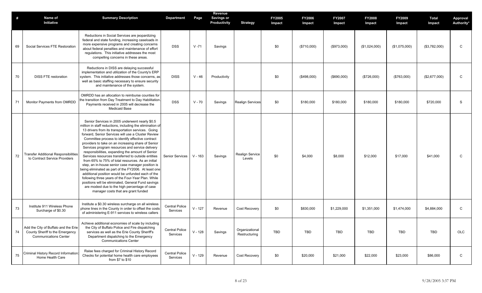| #  | Name of<br>Initiative                                                                                   | <b>Summary Description</b>                                                                                                                                                                                                                                                                                                                                                                                                                                                                                                                                                                                                                                                                                                                                                                                                                                                                                                | <b>Department</b>                 | Page      | Revenue<br><b>Savings or</b><br>Productivity | <b>Strategy</b>                 | <b>FY2005</b><br>Impact | <b>FY2006</b><br>Impact | <b>FY2007</b><br>Impact | <b>FY2008</b><br>Impact | <b>FY2009</b><br>Impact | Total<br>Impact | Approval<br>Authority* |
|----|---------------------------------------------------------------------------------------------------------|---------------------------------------------------------------------------------------------------------------------------------------------------------------------------------------------------------------------------------------------------------------------------------------------------------------------------------------------------------------------------------------------------------------------------------------------------------------------------------------------------------------------------------------------------------------------------------------------------------------------------------------------------------------------------------------------------------------------------------------------------------------------------------------------------------------------------------------------------------------------------------------------------------------------------|-----------------------------------|-----------|----------------------------------------------|---------------------------------|-------------------------|-------------------------|-------------------------|-------------------------|-------------------------|-----------------|------------------------|
| 69 | Social Services FTE Restoration                                                                         | Reductions in Social Services are jeopardizing<br>federal and state funding, increasing caseloads in<br>more expensive programs and creating concerns<br>about federal penalties and maintenance of effort<br>regulations. This initiative addresses the most<br>compelling concerns in these areas.                                                                                                                                                                                                                                                                                                                                                                                                                                                                                                                                                                                                                      | <b>DSS</b>                        | $V - 71$  | Savings                                      |                                 | \$0                     | (\$710,000)             | (\$973,000)             | (\$1,024,000)           | (\$1,075,000)           | (\$3,782,000)   | C                      |
| 70 | <b>DISS FTE restoration</b>                                                                             | Reductions in DISS are delaying successful<br>implementation and utilization of the County's ERP<br>system. This initiative addresses those concerns, as<br>well as basic staffing necessary to ensure security<br>and maintenance of the system.                                                                                                                                                                                                                                                                                                                                                                                                                                                                                                                                                                                                                                                                         | <b>DISS</b>                       | $V - 46$  | Productivity                                 |                                 | \$0                     | (\$498,000)             | (\$690,000)             | (\$726,000)             | (\$763,000)             | (\$2,677,000)   | C                      |
| 71 | Monitor Payments from OMRDD                                                                             | OMRDD has an allocation to reimburse counties for<br>the transition from Day Treatment to Day Habilitation<br>Payments received in 2005 will decrease the<br><b>Medicaid Base</b>                                                                                                                                                                                                                                                                                                                                                                                                                                                                                                                                                                                                                                                                                                                                         | <b>DSS</b>                        | $V - 70$  | Savings                                      | <b>Realign Services</b>         | \$0                     | \$180,000               | \$180,000               | \$180,000               | \$180,000               | \$720,000       | S                      |
| 72 | <b>Transfer Additional Responsibilities</b><br>to Contract Service Providers                            | Senior Services in 2005 underwent nearly \$0.5<br>million in staff reductions, including the elimination of<br>13 drivers from its transportation services. Going<br>forward, Senior Services will use a Cluster Review<br>Committee process to identify effective contract<br>providers to take on an increasing share of Senior<br>Services program resources and service delivery<br>responsibilities, expanding the amount of Senior<br>Services resources transferred to outside entities<br>from 65% to 75% of total resources. As an initial<br>step, an in-house senior case manager position is<br>being eliminated as part of the FY2006. At least one<br>additional position would be unfunded each of the<br>following three years of the Four-Year Plan. While<br>positions will be eliminated, General Fund savings<br>are modest due to the high percentage of case<br>manager costs that are grant funded | <b>Senior Services</b>            | $V - 163$ | Savings                                      | Realign Service<br>Levels       | \$0                     | \$4,000                 | \$8,000                 | \$12,000                | \$17,000                | \$41,000        | $\mathsf{C}$           |
| 73 | Institute 911 Wireless Phone<br>Surcharge of \$0.30                                                     | Institute a \$0.30 wireless surcharge on all wireless<br>phone lines in the County in order to offset the costs<br>of administering E-911 services to wireless callers                                                                                                                                                                                                                                                                                                                                                                                                                                                                                                                                                                                                                                                                                                                                                    | <b>Central Police</b><br>Services | $V - 127$ | Revenue                                      | Cost Recovery                   | \$0                     | \$830,000               | \$1,229,000             | \$1,351,000             | \$1,474,000             | \$4,884,000     | C                      |
| 74 | Add the City of Buffalo and the Erie<br>County Sheriff to the Emergency<br><b>Communications Center</b> | Achieve additional economies of scale by including<br>the City of Buffalo Police and Fire dispatching<br>services as well as the Erie County Sheriff's<br>Department dispatching to the Emergency<br><b>Communications Center</b>                                                                                                                                                                                                                                                                                                                                                                                                                                                                                                                                                                                                                                                                                         | <b>Central Police</b><br>Services | $V - 128$ | Savings                                      | Organizational<br>Restructuring | TBD                     | <b>TBD</b>              | TBD                     | <b>TBD</b>              | TBD                     | <b>TBD</b>      | OLC                    |
| 75 | Criminal History Record Information:<br>Home Health Care                                                | Raise fees charged for Criminal History Record<br>Checks for potential home health care employees<br>from \$7 to \$10                                                                                                                                                                                                                                                                                                                                                                                                                                                                                                                                                                                                                                                                                                                                                                                                     | <b>Central Police</b><br>Services | $V - 129$ | Revenue                                      | Cost Recovery                   | \$0                     | \$20,000                | \$21,000                | \$22,000                | \$23,000                | \$86,000        | $\mathsf{C}$           |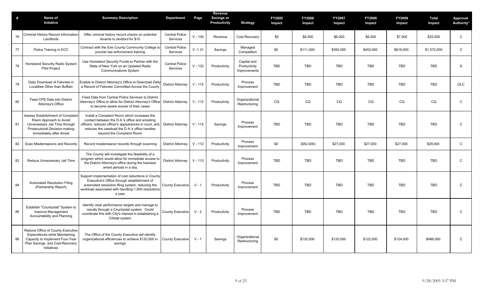| #  | <b>Name of</b><br>Initiative                                                                                                                                     | <b>Summary Description</b>                                                                                                                                                                                                              | <b>Department</b>                 | Page      | Revenue<br>Savings or<br>Productivity | <b>Strategy</b>                             | <b>FY2005</b><br>Impact | <b>FY2006</b><br>Impact | <b>FY2007</b><br>Impact | <b>FY2008</b><br>Impact | <b>FY2009</b><br>Impact | <b>Total</b><br>Impact | Approval<br>Authority* |
|----|------------------------------------------------------------------------------------------------------------------------------------------------------------------|-----------------------------------------------------------------------------------------------------------------------------------------------------------------------------------------------------------------------------------------|-----------------------------------|-----------|---------------------------------------|---------------------------------------------|-------------------------|-------------------------|-------------------------|-------------------------|-------------------------|------------------------|------------------------|
| 76 | Criminal History Record Information<br>Landlords                                                                                                                 | Offer criminal history record checks on potential<br>tenants to landlord for \$10                                                                                                                                                       | <b>Central Police</b><br>Services | $V - 130$ | Revenue                               | Cost Recovery                               | \$0                     | \$6,000                 | \$6,000                 | \$6,000                 | \$7,000                 | \$25,000               | $\mathsf{C}$           |
| 77 | Police Training in ECC                                                                                                                                           | Contract with the Erie County Community College to<br>provide law enforcement training                                                                                                                                                  | <b>Central Police</b><br>Services | $V - 131$ | Savings                               | Managed<br>Competition                      | \$0                     | \$111,000               | \$392,000               | \$453,000               | \$616,000               | \$1,572,000            | $\mathsf{C}$           |
| 78 | Homeland Security Radio System<br><b>Pilot Project</b>                                                                                                           | Use Homeland Security Funds to Partner with the<br>State of New York on an Updated Radio<br><b>Communications System</b>                                                                                                                | <b>Central Police</b><br>Services | $V - 132$ | Productivity                          | Capital and<br>Productivity<br>Improvements | <b>TBD</b>              | <b>TBD</b>              | <b>TBD</b>              | TBD                     | <b>TBD</b>              | <b>TBD</b>             | S                      |
| 79 | Daily Download of Felonies in<br>Localities Other than Buffalo                                                                                                   | Enable to District Attorney's Office to Download Dail<br>a Record of Felonies Committed Across the County                                                                                                                               | <b>District Attorney</b>          | $V - 115$ | Productivity                          | Process<br>Improvement                      | <b>TBD</b>              | <b>TBD</b>              | <b>TBD</b>              | <b>TBD</b>              | <b>TBD</b>              | <b>TBD</b>             | <b>OLC</b>             |
| 80 | Feed CPS Data into District<br>Attorney's Office                                                                                                                 | Feed Data from Central Police Services to District<br>Attorney's Office to allow for District Attorney's Office<br>to become aware sooner of their cases                                                                                | <b>District Attorney</b>          | $V - 112$ | Productivity                          | Organizational<br>Restructuring             | CQ                      | CQ                      | CQ                      | CQ                      | CQ                      | CQ                     | $\mathsf{C}$           |
| 81 | <b>Assess Establishment of Complaint</b><br>Room Approach to Avoid<br>Unnecessary Jail Time through<br>Prosecutorial Decision-making<br>Immediately after Arrest | Install a Complaint Room which increases the<br>contact between the D.A.'s office and arresting<br>officers, reduces officer's appearances in court, and<br>reduces the caseload the D.A.'s office handles<br>beyond the Complaint Room | <b>District Attorney</b>          | $V - 115$ | Savings                               | Process<br>Improvement                      | <b>TBD</b>              | TBD                     | TBD                     | TBD                     | <b>TBD</b>              | <b>TBD</b>             | $\mathsf{C}$           |
| 82 | Scan Misdemeanors and Records                                                                                                                                    | Record misdemeanor records through scanning                                                                                                                                                                                             | District Attorney                 | $V - 112$ | Productivity                          | Process<br>Improvement                      | \$0                     | (\$52,000)              | \$27,000                | \$27,000                | \$27,000                | \$29,000               | $\mathsf{C}$           |
| 83 | Reduce Unnecessary Jail Time                                                                                                                                     | The County will investigate the feasibility of a<br>program which would allow for immediate access to<br>the District Attorney's office during the heaviest<br>arrest periods in a day                                                  | <b>District Attorney</b>          | $V - 113$ | Productivity                          | Process<br>Improvement                      | <b>TBD</b>              | <b>TBD</b>              | <b>TBD</b>              | TBD                     | <b>TBD</b>              | <b>TBD</b>             | $\mathsf{C}$           |
| 84 | <b>Automated Resolution Filing</b><br>(Partnership Report)                                                                                                       | Support implementation of cost reductions in County<br>Executive's Office through establishment of<br>automated resolution filing system, reducing the<br>workload associated with handling 1,000 resolutions<br>a year                 | <b>County Executive</b>           | $V - 1$   | Productivity                          | Process<br>Improvement                      | <b>TBD</b>              | <b>TBD</b>              | <b>TBD</b>              | TBD                     | <b>TBD</b>              | <b>TBD</b>             | C                      |
| 85 | Establish "Countystat" System to<br>Improve Management<br>Accountability and Planning                                                                            | Identify clear performance targets and manage to<br>results through a Countystat system. Could<br>coordinate this with City's interest in establishing a<br>Citistat system                                                             | County Executive                  | $V - 2$   | Productivity                          | Process<br>Improvement                      | <b>TBD</b>              | <b>TBD</b>              | <b>TBD</b>              | TBD                     | <b>TBD</b>              | <b>TBD</b>             | $\mathsf{C}$           |
| 86 | Reduce Office of County Executive<br><b>Expenditures while Maintaining</b><br>Capacity to Implement Four-Year<br>Plan Savings and Cost-Recovery<br>Initiatives   | The Office of the County Executive will identify<br>organizational efficiencies to achieve \$120,000 in<br>savings                                                                                                                      | <b>County Executive</b>           | $V - 1$   | Savings                               | Organizational<br>Restructuring             | \$0                     | \$120,000               | \$120,000               | \$122,000               | \$124,000               | \$486,000              | $\mathsf{C}$           |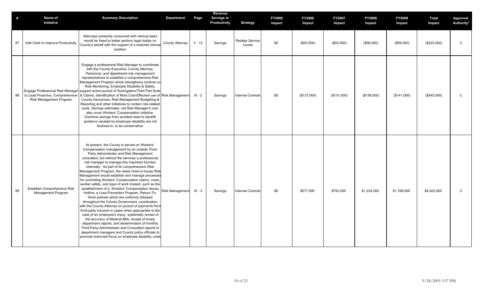| #  | Name of                                                     | <b>Summary Description</b>                                                                                                                                                                                                                                                                                                                                                                                                                                                                                                                                                                                                                                                                                                                                                                                                                                                                                                                                                                                                                                                                                                                                                      | <b>Department</b>      | Page     | Revenue<br><b>Savings or</b> |                                  | <b>FY2005</b> | <b>FY2006</b> | <b>FY2007</b> | <b>FY2008</b> | FY2009      | Total       | Approval     |
|----|-------------------------------------------------------------|---------------------------------------------------------------------------------------------------------------------------------------------------------------------------------------------------------------------------------------------------------------------------------------------------------------------------------------------------------------------------------------------------------------------------------------------------------------------------------------------------------------------------------------------------------------------------------------------------------------------------------------------------------------------------------------------------------------------------------------------------------------------------------------------------------------------------------------------------------------------------------------------------------------------------------------------------------------------------------------------------------------------------------------------------------------------------------------------------------------------------------------------------------------------------------|------------------------|----------|------------------------------|----------------------------------|---------------|---------------|---------------|---------------|-------------|-------------|--------------|
|    | Initiative                                                  |                                                                                                                                                                                                                                                                                                                                                                                                                                                                                                                                                                                                                                                                                                                                                                                                                                                                                                                                                                                                                                                                                                                                                                                 |                        |          | Productivity                 | <b>Strategy</b>                  | Impact        | Impact        | Impact        | Impact        | Impact      | Impact      | Authority*   |
| 87 | Add Clerk to Improve Productivity                           | Attorneys presently consumed with clerical tasks<br>would be freed to better perform legal duties on<br>County's behalf with the support of a restored clerica<br>position                                                                                                                                                                                                                                                                                                                                                                                                                                                                                                                                                                                                                                                                                                                                                                                                                                                                                                                                                                                                      | County Attorney        | $V - 13$ | Savings                      | <b>Realign Service</b><br>Levels | \$0           | (\$53,000)    | (\$54,000)    | (\$56,000)    | (\$59,000)  | (\$222,000) | $\mathsf C$  |
| 88 | to Lead Proactive, Comprehensive<br>Risk Management Program | Engage a professional Risk Manager to coordinate<br>with the County Executive, County Attorney,<br>Personnel, and department risk management<br>representatives to establish a comprehensive Risk<br>Management Program which strengthens controls on<br>Risk Monitoring, Employee Disability & Safety,<br>Engage Professional Risk Manager support active pursuit of Subrogation/Third Part Suits<br>& Claims, Identification of Most Cost-Effective use of<br>County Insurances, Risk Management Budgeting &<br>Reporting and other initiatives to contain risk-related<br>costs. Savings estimates, net Risk Manager's cost,<br>also cover Workers' Compensation initiative.<br>Overtime savings from avoided need to backfill<br>positions vacated by employee disability are not<br>factored in, to be conservative                                                                                                                                                                                                                                                                                                                                                        | <b>Risk Management</b> | $IX - 2$ | Savings                      | <b>Internal Controls</b>         | \$0           | (\$137,000)   | (\$131,000)   | (\$136,000)   | (\$141,000) | (\$545,000) | C            |
| 89 | <b>Establish Comprehensive Risk</b><br>Management Program   | At present, the County is served on Workers'<br>Compensation management by an outside Third-<br>Party Administrator and Risk Management<br>consultant, but without the services a professional<br>risk manager to manage this important function<br>internally. As part of its comprehensive Risk<br>Management Program, the newly hired in-house Risk<br>Management would establish and manage processes<br>for controlling Workers' Compensation claims, costs,<br>worker safety, and days of work missed, such as the<br>establishment of a Workers' Compensation Abuse<br>Hotline, a Loss-Prevention Program, Return-To-<br>Work policies which are uniformly followed<br>throughout the County Government, coordination<br>with the County Attorney on pursuit of payments from<br>third-party insurers in cases when appropriate to the<br>case of an employee's injury, systematic review of<br>the accuracy of Medical Bills, receipt of timely<br>department reports, and dissemination of monthly<br>Third-Party-Administrator and Consultant reports to<br>department managers and County policy officials to<br>promote improved focus on employee disability costs | <b>Risk Management</b> | $IX - 3$ | Savings                      | <b>Internal Controls</b>         | \$0           | \$277,000     | \$752,000     | \$1,224,000   | \$1,769,000 | \$4,022,000 | $\mathsf{C}$ |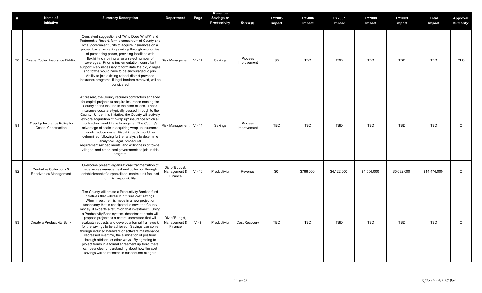| #  | Name of<br>Initiative                                       | <b>Summary Description</b>                                                                                                                                                                                                                                                                                                                                                                                                                                                                                                                                                                                                                                                                                                                                                                                         | <b>Department</b>                         | Page     | Revenue<br><b>Savings or</b><br>Productivity | <b>Strategy</b>        | <b>FY2005</b><br>Impact | FY2006<br>Impact | <b>FY2007</b><br>Impact | FY2008<br>Impact | FY2009<br>Impact | <b>Total</b><br>Impact | Approval<br>Authority* |
|----|-------------------------------------------------------------|--------------------------------------------------------------------------------------------------------------------------------------------------------------------------------------------------------------------------------------------------------------------------------------------------------------------------------------------------------------------------------------------------------------------------------------------------------------------------------------------------------------------------------------------------------------------------------------------------------------------------------------------------------------------------------------------------------------------------------------------------------------------------------------------------------------------|-------------------------------------------|----------|----------------------------------------------|------------------------|-------------------------|------------------|-------------------------|------------------|------------------|------------------------|------------------------|
| 90 | Pursue Pooled Insurance Bidding                             | Consistent suggestions of "Who Does What?" and<br>Partnership Report, form a consortium of County and<br>local government units to acquire insurances on a<br>pooled basis, achieving savings through economies<br>of purchasing power, providing localities with<br>flexibility on joining all or a select number of<br>coverages. Prior to implementation, consultant<br>support likely necessary to formulate the bid, villages<br>and towns would have to be encouraged to join.<br>Ability to join existing school-district provided<br>insurance programs, if legal barriers removed, will be<br>considered                                                                                                                                                                                                  | Risk Management                           | $V - 14$ | Savings                                      | Process<br>Improvement | \$0                     | TBD              | <b>TBD</b>              | <b>TBD</b>       | <b>TBD</b>       | <b>TBD</b>             | OLC                    |
| 91 | Wrap Up Insurance Policy for<br><b>Capital Construction</b> | At present, the County requires contractors engaged<br>for capital projects to acquire insurance naming the<br>County as the insured in the case of loss. These<br>insurance costs are typically passed through to the<br>County. Under this initiative, the County will actively<br>explore acquisition of "wrap up" insurance which all<br>contractors would have to engage. The County's<br>advantage of scale in acquiring wrap up insurance<br>would reduce costs. Fiscal impacts would be<br>determined following further analysis to determine<br>analytical, legal, procedural<br>requirements/impediments, and willingness of towns,<br>villages, and other local governments to join in this<br>program                                                                                                  | Risk Management                           | $V - 14$ | Savings                                      | Process<br>Improvement | TBD                     | <b>TBD</b>       | <b>TBD</b>              | <b>TBD</b>       | <b>TBD</b>       | <b>TBD</b>             | ${\rm C}$              |
| 92 | Centralize Collections &<br>Receivables Management          | Overcome present organizational fragmentation of<br>receivables management and collection through<br>establishment of a specialized, central unit focused<br>on this responsibility                                                                                                                                                                                                                                                                                                                                                                                                                                                                                                                                                                                                                                | Div of Budget,<br>Management &<br>Finance | $V - 10$ | Productivity                                 | Revenue                | \$0                     | \$766,000        | \$4,122,000             | \$4,554,000      | \$5,032,000      | \$14,474,000           | ${\bf C}$              |
| 93 | Create a Productivity Bank                                  | The County will create a Productivity Bank to fund<br>initiatives that will result in future cost savings.<br>When investment is made in a new project or<br>technology that is anticipated to save the County<br>money, it expects a return on that investment. Using<br>a Productivity Bank system, department heads will<br>propose projects to a central committee that will<br>evaluate requests and develop a formal framework<br>for the savings to be achieved. Savings can come<br>through reduced hardware or software maintenance.<br>decreased overtime, the elimination of positions<br>through attrition, or other ways. By agreeing to<br>project terms in a formal agreement up front, there<br>can be a clear understanding about how the cost<br>savings will be reflected in subsequent budgets | Div of Budget,<br>Management &<br>Finance | $V - 9$  | Productivity                                 | Cost Recovery          | TBD                     | <b>TBD</b>       | <b>TBD</b>              | <b>TBD</b>       | <b>TBD</b>       | <b>TBD</b>             | $\mathsf C$            |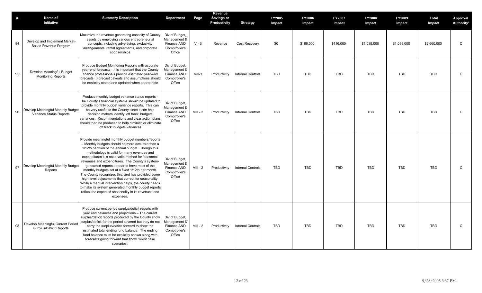| #  | Name of<br>Initiative                                         | <b>Summary Description</b>                                                                                                                                                                                                                                                                                                                                                                                                                                                                                                                                                                                                                                                                                               | Department                                                               | Page       | Revenue<br>Savings or<br>Productivity | <b>Strategy</b>          | <b>FY2005</b><br>Impact | <b>FY2006</b><br>Impact | <b>FY2007</b><br>Impact | <b>FY2008</b><br>Impact | <b>FY2009</b><br>Impact | <b>Total</b><br>Impact | Approval<br>Authority* |
|----|---------------------------------------------------------------|--------------------------------------------------------------------------------------------------------------------------------------------------------------------------------------------------------------------------------------------------------------------------------------------------------------------------------------------------------------------------------------------------------------------------------------------------------------------------------------------------------------------------------------------------------------------------------------------------------------------------------------------------------------------------------------------------------------------------|--------------------------------------------------------------------------|------------|---------------------------------------|--------------------------|-------------------------|-------------------------|-------------------------|-------------------------|-------------------------|------------------------|------------------------|
| 94 | Develop and Implement Market-<br><b>Based Revenue Program</b> | Maximize the revenue-generating capacity of County<br>assets by employing various entrepreneurial<br>concepts, including advertising, exclusivity<br>arrangements, rental agreements, and corporate<br>sponsorships                                                                                                                                                                                                                                                                                                                                                                                                                                                                                                      | Div of Budget,<br>Management &<br>Finance AND<br>Comptroller's<br>Office | $V - 6$    | Revenue                               | Cost Recovery            | \$0                     | \$166,000               | \$416,000               | \$1,039,000             | \$1,039,000             | \$2,660,000            | $\mathsf{C}$           |
| 95 | Develop Meaningful Budget<br><b>Monitoring Reports</b>        | Produce Budget Monitoring Reports with accurate<br>year-end forecasts - It is important that the County<br>finance professionals provide estimated year-end<br>forecasts. Forecast caveats and assumptions should<br>be explicitly stated and updated when appropriate                                                                                                                                                                                                                                                                                                                                                                                                                                                   | Div of Budget,<br>Management &<br>Finance AND<br>Comptroller's<br>Office | $VIII-1$   | Productivity                          | <b>Internal Controls</b> | <b>TBD</b>              | <b>TBD</b>              | <b>TBD</b>              | <b>TBD</b>              | <b>TBD</b>              | <b>TBD</b>             | $\mathsf{C}$           |
| 96 | Develop Meaningful Monthly Budget<br>Variance Status Reports  | Produce monthly budget variance status reports -<br>The County's financial systems should be updated to<br>provide monthly budget variance reports. This can<br>be very useful to the County since it can help<br>decision makers identify 'off track' budgets<br>variances. Recommendations and clear action plans<br>should then be produced to help diminish or eliminate<br>'off track' budgets variances                                                                                                                                                                                                                                                                                                            | Div of Budget,<br>Management &<br>Finance AND<br>Comptroller's<br>Office | $VIII - 2$ | Productivity                          | <b>Internal Controls</b> | <b>TBD</b>              | TBD                     | <b>TBD</b>              | TBD                     | <b>TBD</b>              | <b>TBD</b>             | $\mathsf{C}$           |
| 97 | Develop Meaningful Monthly Budget<br>Reports                  | Provide meaningful monthly budget numbers/reports<br>- Monthly budgets should be more accurate than a<br>1/12th partition of the annual budget. Though this<br>methodology is valid for many revenues and<br>expenditures it is not a valid method for 'seasonal'<br>revenues and expenditures. The County's system-<br>generated reports appear to have most of the<br>monthly budgets set at a fixed 1/12th per month.<br>The County recognizes this, and has provided some<br>high-level adjustments that correct for seasonality.<br>While a manual intervention helps, the county needs<br>to make its system generated monthly budget reports<br>reflect the expected seasonality in its revenues and<br>expenses. | Div of Budget,<br>Management &<br>Finance AND<br>Comptroller's<br>Office | $VIII - 2$ | Productivity                          | <b>Internal Controls</b> | <b>TBD</b>              | <b>TBD</b>              | <b>TBD</b>              | <b>TBD</b>              | <b>TBD</b>              | <b>TBD</b>             | $\mathsf{C}$           |
| 98 | Develop Meaningful Current Period<br>Surplus/Deficit Reports  | Produce current period surplus/deficit reports with<br>year end balances and projections - The current<br>surplus/deficit reports produced by the County show<br>surplus/deficit for the period covered but they do not<br>carry the surplus/deficit forward to show the<br>estimated total ending fund balance. The ending<br>fund balance must be explicitly shown along with<br>forecasts going forward that show 'worst case<br>scenarios'.                                                                                                                                                                                                                                                                          | Div of Budget,<br>Management &<br>Finance AND<br>Comptroller's<br>Office | $VIII - 2$ | Productivity                          | <b>Internal Controls</b> | <b>TBD</b>              | <b>TBD</b>              | <b>TBD</b>              | <b>TBD</b>              | <b>TBD</b>              | <b>TBD</b>             | $\mathsf C$            |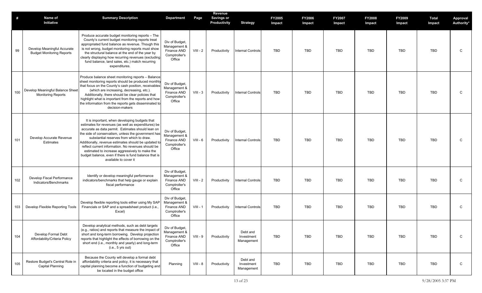| #   | Name of<br>Initiative                                           | <b>Summary Description</b>                                                                                                                                                                                                                                                                                                                                                                                                                                                                                     | <b>Department</b>                                                        | Page       | Revenue<br><b>Savings or</b><br>Productivity | <b>Strategy</b>                      | <b>FY2005</b><br>Impact | <b>FY2006</b><br>Impact | <b>FY2007</b><br>Impact | <b>FY2008</b><br>Impact | <b>FY2009</b><br>Impact | Total<br>Impact | <b>Approval</b><br>Authority* |
|-----|-----------------------------------------------------------------|----------------------------------------------------------------------------------------------------------------------------------------------------------------------------------------------------------------------------------------------------------------------------------------------------------------------------------------------------------------------------------------------------------------------------------------------------------------------------------------------------------------|--------------------------------------------------------------------------|------------|----------------------------------------------|--------------------------------------|-------------------------|-------------------------|-------------------------|-------------------------|-------------------------|-----------------|-------------------------------|
| 99  | Develop Meaningful Accurate<br><b>Budget Monitoring Reports</b> | Produce accurate budget monitoring reports - The<br>County's current budget monitoring reports treat<br>appropriated fund balance as revenue. Though this<br>is not wrong, budget monitoring reports must show<br>the structural balance at the end of the year by<br>clearly displaying how recurring revenues (excluding<br>fund balance, land sales, etc.) match recurring<br>expenditures.                                                                                                                 | Div of Budget,<br>Management &<br>Finance AND<br>Comptroller's<br>Office | $VIII - 2$ | Productivity                                 | <b>Internal Controls</b>             | <b>TBD</b>              | TBD                     | <b>TBD</b>              | <b>TBD</b>              | TBD                     | <b>TBD</b>      | C                             |
| 100 | Develop Meaningful Balance Sheet<br><b>Monitoring Reports</b>   | Produce balance sheet monitoring reports - Balance<br>sheet monitoring reports should be produced monthly<br>that focus on the County's cash position, receivables<br>(which are increasing, decreasing, etc.).<br>Additionally, there should be clear policies that<br>highlight what is important from the reports and how<br>the information from the reports gets disseminated to<br>decision-makers                                                                                                       | Div of Budget,<br>Management &<br>Finance AND<br>Comptroller's<br>Office | $VIII - 3$ | Productivity                                 | <b>Internal Controls</b>             | <b>TBD</b>              | TBD                     | <b>TBD</b>              | <b>TBD</b>              | TBD                     | <b>TBD</b>      | C                             |
| 101 | Develop Accurate Revenue<br>Estimates                           | It is important, when developing budgets that<br>estimates for revenues (as well as expenditures) be<br>accurate as data permit. Estimates should lean on<br>the side of conservatism, unless the government has<br>substantial reserves from which to draw.<br>Additionally, revenue estimates should be updated to<br>reflect current information. No revenues should be<br>estimated to increase aggressively to make the<br>budget balance, even if there is fund balance that is<br>available to cover it | Div of Budget,<br>Management &<br>Finance AND<br>Comptroller's<br>Office | $VIII - 6$ | Productivity                                 | <b>Internal Controls</b>             | <b>TBD</b>              | TBD                     | <b>TBD</b>              | <b>TBD</b>              | TBD                     | <b>TBD</b>      | C                             |
| 102 | Develop Fiscal Performance<br>Indicators/Benchmarks             | Identify or develop meaningful performance<br>indicators/benchmarks that help gauge or explain<br>fiscal performance                                                                                                                                                                                                                                                                                                                                                                                           | Div of Budget,<br>Management &<br>Finance AND<br>Comptroller's<br>Office | $VIII - 2$ | Productivity                                 | <b>Internal Controls</b>             | <b>TBD</b>              | TBD                     | <b>TBD</b>              | TBD                     | TBD                     | TBD             | C                             |
| 103 | Develop Flexible Reporting Tools                                | Develop flexible reporting tools either using My SAP<br>Financials or SAP and a spreadsheet product (i.e.,<br>Excel)                                                                                                                                                                                                                                                                                                                                                                                           | Div of Budget,<br>Management &<br>Finance AND<br>Comptroller's<br>Office | $VIII - 1$ | Productivity                                 | <b>Internal Controls</b>             | <b>TBD</b>              | TBD                     | <b>TBD</b>              | TBD                     | TBD                     | <b>TBD</b>      | C                             |
| 104 | Develop Formal Debt<br>Affordability/Criteria Policy            | Develop analytical methods, such as debt targets<br>(e.g., ratios) and reports that measure the impact of<br>short and long-term borrowing. Develop projection<br>reports that highlight the effects of borrowing on the<br>short end (i.e., monthly and yearly) and long-term<br>(i.e., 5 yrs out)                                                                                                                                                                                                            | Div of Budget,<br>Management &<br>Finance AND<br>Comptroller's<br>Office | $VIII - 9$ | Productivity                                 | Debt and<br>Investment<br>Management | <b>TBD</b>              | TBD                     | TBD                     | TBD                     | TBD                     | TBD             | C                             |
| 105 | Restore Budget's Central Role in<br>Capital Planning            | Because the County will develop a formal debt<br>affordability criteria and policy, it is necessary that<br>capital planning become a function of budgeting and<br>be located in the budget office                                                                                                                                                                                                                                                                                                             | Planning                                                                 | $VIII - 8$ | Productivity                                 | Debt and<br>Investment<br>Management | TBD                     | TBD                     | TBD                     | TBD                     | TBD                     | TBD             | C                             |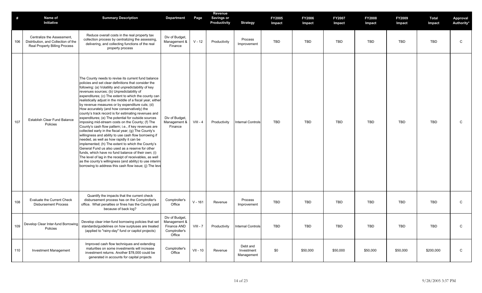| #   | Name of<br>Initiative                                                                              | <b>Summary Description</b>                                                                                                                                                                                                                                                                                                                                                                                                                                                                                                                                                                                                                                                                                                                                                                                                                                                                                                                                                                                                                                                                                                                                                            | <b>Department</b>                                                        | Page       | Revenue<br>Savings or<br>Productivity | <b>Strategy</b>                      | <b>FY2005</b><br>Impact | <b>FY2006</b><br>Impact | <b>FY2007</b><br>Impact | <b>FY2008</b><br>Impact | FY2009<br>Impact | <b>Total</b><br>Impact | Approval<br>Authority* |
|-----|----------------------------------------------------------------------------------------------------|---------------------------------------------------------------------------------------------------------------------------------------------------------------------------------------------------------------------------------------------------------------------------------------------------------------------------------------------------------------------------------------------------------------------------------------------------------------------------------------------------------------------------------------------------------------------------------------------------------------------------------------------------------------------------------------------------------------------------------------------------------------------------------------------------------------------------------------------------------------------------------------------------------------------------------------------------------------------------------------------------------------------------------------------------------------------------------------------------------------------------------------------------------------------------------------|--------------------------------------------------------------------------|------------|---------------------------------------|--------------------------------------|-------------------------|-------------------------|-------------------------|-------------------------|------------------|------------------------|------------------------|
| 106 | Centralize the Assessment,<br>Distribution, and Collection of the<br>Real Property Billing Process | Reduce overall costs in the real property tax<br>collection process by centralizing the assessing,<br>delivering, and collecting functions of the real<br>property process                                                                                                                                                                                                                                                                                                                                                                                                                                                                                                                                                                                                                                                                                                                                                                                                                                                                                                                                                                                                            | Div of Budget,<br>Management &<br>Finance                                | $V - 12$   | Productivity                          | Process<br>Improvement               | <b>TBD</b>              | <b>TBD</b>              | TBD                     | <b>TBD</b>              | <b>TBD</b>       | <b>TBD</b>             | C                      |
| 107 | <b>Establish Clear Fund Balance</b><br>Policies                                                    | The County needs to revise its current fund balance<br>policies and set clear definitions that consider the<br>following: (a) Volatility and unpredictability of key<br>revenues sources; (b) Unpredictability of<br>expenditures; (c) The extent to which the county can<br>realistically adjust in the middle of a fiscal year, either<br>by revenue measures or by expenditure cuts; (d)<br>How accurately (and how conservatively) the<br>county's track record is for estimating revenues and<br>expenditures; (e) The potential for outside sources<br>imposing mid-stream costs on the County; (f) The<br>County's cash flow pattern; i.e., if key revenues are<br>collected early in the fiscal year; (g) The County's<br>willingness and ability to use cash flow borrowing if<br>needed, as well as how rapidly it can be<br>implemented; (h) The extent to which the County's<br>General Fund us also used as a reserve for other<br>funds, which have no fund balance of their own; (i)<br>The level of lag in the receipt of receivables, as well<br>as the county's willingness (and ability) to use interim<br>borrowing to address this cash flow issue; (j) The leve | Div of Budget,<br>Management &<br>Finance                                | $VIII - 4$ | Productivity                          | <b>Internal Controls</b>             | <b>TBD</b>              | <b>TBD</b>              | TBD                     | <b>TBD</b>              | <b>TBD</b>       | <b>TBD</b>             | $\mathsf{C}$           |
| 108 | <b>Evaluate the Current Check</b><br><b>Disbursement Process</b>                                   | Quantify the impacts that the current check<br>disbursement process has on the Comptroller's<br>office. What penalties or fines has the County paid<br>because of back log?                                                                                                                                                                                                                                                                                                                                                                                                                                                                                                                                                                                                                                                                                                                                                                                                                                                                                                                                                                                                           | Comptroller's<br>Office                                                  | $V - 161$  | Revenue                               | Process<br>Improvement               | <b>TBD</b>              | <b>TBD</b>              | TBD                     | <b>TBD</b>              | <b>TBD</b>       | <b>TBD</b>             | C                      |
| 109 | Develop Clear Inter-fund Borrowing<br>Policies                                                     | Develop clear inter-fund borrowing policies that set<br>standards/guidelines on how surpluses are treated<br>(applied to "rainy-day" fund or capitol projects)                                                                                                                                                                                                                                                                                                                                                                                                                                                                                                                                                                                                                                                                                                                                                                                                                                                                                                                                                                                                                        | Div of Budget,<br>Management &<br>Finance AND<br>Comptroller's<br>Office | $VIII - 7$ | Productivity                          | <b>Internal Controls</b>             | <b>TBD</b>              | <b>TBD</b>              | TBD                     | <b>TBD</b>              | <b>TBD</b>       | <b>TBD</b>             | C                      |
| 110 | <b>Investment Management</b>                                                                       | Improved cash flow techniques and extending<br>maturities on some investments will increase<br>investment returns. Another \$78,000 could be<br>generated in accounts for capital projects                                                                                                                                                                                                                                                                                                                                                                                                                                                                                                                                                                                                                                                                                                                                                                                                                                                                                                                                                                                            | Comptroller's<br>Office                                                  | $VII - 10$ | Revenue                               | Debt and<br>Investment<br>Management | \$0                     | \$50,000                | \$50,000                | \$50,000                | \$50,000         | \$200,000              | $\mathsf C$            |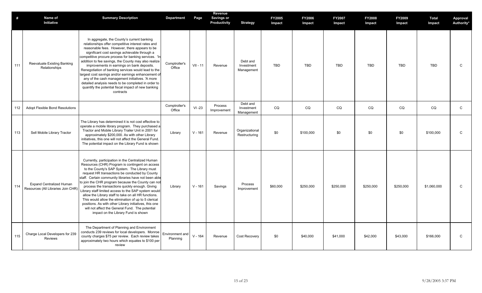| #   | Name of<br>Initiative                                                 | <b>Summary Description</b>                                                                                                                                                                                                                                                                                                                                                                                                                                                                                                                                                                                                                                                                           | <b>Department</b>           | Page       | Revenue<br><b>Savings or</b><br>Productivity | <b>Strategy</b>                      | FY2005<br>Impact | <b>FY2006</b><br>Impact | <b>FY2007</b><br>Impact | <b>FY2008</b><br>Impact | <b>FY2009</b><br>Impact | <b>Total</b><br>Impact | Approval<br>Authority* |
|-----|-----------------------------------------------------------------------|------------------------------------------------------------------------------------------------------------------------------------------------------------------------------------------------------------------------------------------------------------------------------------------------------------------------------------------------------------------------------------------------------------------------------------------------------------------------------------------------------------------------------------------------------------------------------------------------------------------------------------------------------------------------------------------------------|-----------------------------|------------|----------------------------------------------|--------------------------------------|------------------|-------------------------|-------------------------|-------------------------|-------------------------|------------------------|------------------------|
| 111 | Reevaluate Existing Banking<br>Relationships                          | In aggregate, the County's current banking<br>relationships offer competitive interest rates and<br>reasonable fees. However, there appears to be<br>significant cost savings achievable through a<br>competitive procure process for banking services. 'In<br>addition to fee savings, the County may also realize<br>improvements in earnings on bank deposits.<br>Renegotiation of banking services would lead to the<br>largest cost savings and/or earnings enhancement of<br>any of the cash management initiatives. 'A more<br>detailed analysis needs to be completed in order to<br>quantify the potential fiscal impact of new banking<br>contracts                                        | Comptroller's<br>Office     | $VII - 11$ | Revenue                                      | Debt and<br>Investment<br>Management | <b>TBD</b>       | <b>TBD</b>              | <b>TBD</b>              | <b>TBD</b>              | <b>TBD</b>              | <b>TBD</b>             | $\mathsf C$            |
| 112 | <b>Adopt Flexible Bond Resolutions</b>                                |                                                                                                                                                                                                                                                                                                                                                                                                                                                                                                                                                                                                                                                                                                      | Comptroller's<br>Office     | $VI - 23$  | Process<br>Improvement                       | Debt and<br>Investment<br>Management | CQ               | CQ                      | CQ                      | CQ                      | CQ                      | CQ                     | $\mathsf C$            |
| 113 | Sell Mobile Library Tractor                                           | The Library has determined it is not cost effective to<br>operate a mobile library program. They purchased a<br>Tractor and Mobile Library Trailer Unit in 2001 for<br>approximately \$200,000. As with other Library<br>initiatives, this one will not affect the General Fund.<br>The potential impact on the Library Fund is shown                                                                                                                                                                                                                                                                                                                                                                | Library                     | $V - 161$  | Revenue                                      | Organizational<br>Restructuring      | \$0              | \$100,000               | \$0                     | \$0                     | \$0                     | \$100,000              | $\mathsf C$            |
| 114 | <b>Expand Centralized Human</b><br>Resources (All Libraries Join CHR) | Currently, participation in the Centralized Human<br>Resources (CHR) Program is contingent on access<br>to the County's SAP System. The Library must<br>request HR transactions be conducted by County<br>staff. Certain community libraries have not been able<br>to join the CHR program because the County can not<br>process the transactions quickly enough. Giving<br>Library staff limited access to the SAP system would<br>allow the Library staff to take on all HR functions.<br>This would allow the elimination of up to 5 clerical<br>positions. As with other Library initiatives, this one<br>will not affect the General Fund. The potential<br>impact on the Library Fund is shown | Library                     | $V - 161$  | Savings                                      | Process<br>Improvement               | \$60,000         | \$250,000               | \$250,000               | \$250,000               | \$250,000               | \$1,060,000            | $\mathsf C$            |
| 115 | Charge Local Developers for 239<br>Reviews                            | The Department of Planning and Environment<br>conducts 239 reviews for local developers. Monroe<br>county charges \$75 per review. Each review takes<br>approximately two hours which equates to \$100 per<br>review                                                                                                                                                                                                                                                                                                                                                                                                                                                                                 | Environment and<br>Planning | $V - 164$  | Revenue                                      | Cost Recovery                        | \$0              | \$40,000                | \$41,000                | \$42,000                | \$43,000                | \$166,000              | $\mathsf{C}$           |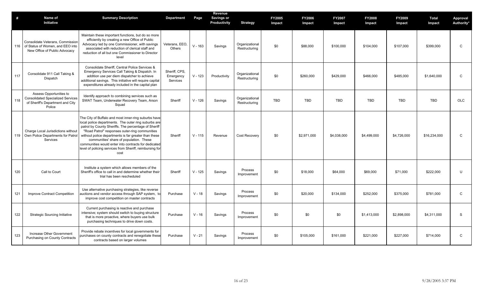| #   | Name of<br>Initiative                                                                                             | <b>Summary Description</b>                                                                                                                                                                                                                                                                                                                                                                                                                            | <b>Department</b>                      | Page      | Revenue<br>Savings or<br>Productivity | <b>Strategy</b>                 | <b>FY2005</b><br>Impact | <b>FY2006</b><br>Impact | <b>FY2007</b><br>Impact | <b>FY2008</b><br>Impact | <b>FY2009</b><br>Impact | <b>Total</b><br>Impact | Approval<br>Authority* |
|-----|-------------------------------------------------------------------------------------------------------------------|-------------------------------------------------------------------------------------------------------------------------------------------------------------------------------------------------------------------------------------------------------------------------------------------------------------------------------------------------------------------------------------------------------------------------------------------------------|----------------------------------------|-----------|---------------------------------------|---------------------------------|-------------------------|-------------------------|-------------------------|-------------------------|-------------------------|------------------------|------------------------|
|     | Consolidate Veterans, Commissior<br>116 of Status of Women, and EEO into<br>New Office of Public Advocacy         | Maintain these important functions, but do so more<br>efficiently by creating a new Office of Public<br>Advocacy led by one Commissioner, with savings<br>associated with reduction of clerical staff and<br>reduction of all but one Commissioner to Director<br>level                                                                                                                                                                               | Veterans, EEO.<br>Others               | $V - 163$ | Savings                               | Organizational<br>Restructuring | \$0                     | \$88,000                | \$100,000               | \$104,000               | \$107,000               | \$399,000              | $\mathsf C$            |
| 117 | Consolidate 911 Call Taking &<br>Dispatch                                                                         | Consolidate Sheriff, Central Police Services &<br>Emergency Services Call Taking & Dispatch. In<br>addition use per diem dispatcher to achieve<br>additional savings. This initiative will require capital<br>expenditures already included in the capital plan                                                                                                                                                                                       | Sheriff, CPS,<br>Emergency<br>Services | $V - 123$ | Productivity                          | Organizational<br>Restructuring | \$0                     | \$260,000               | \$429,000               | \$466,000               | \$485,000               | \$1,640,000            | C                      |
| 118 | Assess Opportunities to<br><b>Consolidated Specialized Services</b><br>of Sheriff's Department and City<br>Police | Identify approach to combining services such as<br>SWAT Team, Underwater Recovery Team, Arson<br>Squad                                                                                                                                                                                                                                                                                                                                                | Sheriff                                | $V - 126$ | Savings                               | Organizational<br>Restructuring | <b>TBD</b>              | <b>TBD</b>              | <b>TBD</b>              | <b>TBD</b>              | <b>TBD</b>              | <b>TBD</b>             | <b>OLC</b>             |
|     | Charge Local Jurisdictions without<br>119 Own Police Departments for Patrol<br>Services                           | The City of Buffalo and most inner-ring suburbs have<br>local police departments. The outer ring suburbs are<br>patrol by County Sheriffs. The percentage of Sheriff<br>"Road Patrol" responses outer-ring communities<br>without police departments is far greater than these<br>communities' share of population. These<br>communities would enter into contracts for dedicated<br>level of policing services from Sheriff, reimbursing for<br>cost | Sheriff                                | $V - 115$ | Revenue                               | <b>Cost Recovery</b>            | \$0                     | \$2,971,000             | \$4,038,000             | \$4,499,000             | \$4,726,000             | \$16,234,000           | $\mathsf C$            |
| 120 | Call to Court                                                                                                     | Institute a system which allows members of the<br>Sheriff's office to call in and determine whether their<br>trial has been rescheduled                                                                                                                                                                                                                                                                                                               | Sheriff                                | $V - 125$ | Savings                               | Process<br>Improvement          | \$0                     | \$18,000                | \$64,000                | \$69,000                | \$71,000                | \$222,000              | U                      |
| 121 | Improve Contract Competition                                                                                      | Use alternative purchasing strategies, like reverse<br>auctions and vendor access through SAP system, to<br>improve cost competition on master contracts                                                                                                                                                                                                                                                                                              | Purchase                               | $V - 18$  | Savings                               | Process<br>Improvement          | \$0                     | \$20,000                | \$134,000               | \$252,000               | \$375,000               | \$781,000              | C                      |
| 122 | <b>Strategic Sourcing Initiative</b>                                                                              | Current purchasing is reactive and purchase<br>intensive; system should switch to buying structure<br>that is more proactive, where buyers use bulk<br>purchasing techniques to drive down costs.                                                                                                                                                                                                                                                     | Purchase                               | $V - 16$  | Savings                               | Process<br>Improvement          | \$0                     | \$0                     | \$0                     | \$1,413,000             | \$2,898,000             | \$4,311,000            | S                      |
| 123 | Increase Other Government<br>Purchasing on County Contracts                                                       | Provide rebate incentives for local governments for<br>purchases on county contracts and renegotiate these<br>contracts based on larger volumes                                                                                                                                                                                                                                                                                                       | Purchase                               | $V - 21$  | Savings                               | Process<br>Improvement          | \$0                     | \$105,000               | \$161,000               | \$221,000               | \$227,000               | \$714,000              | $\mathsf{C}$           |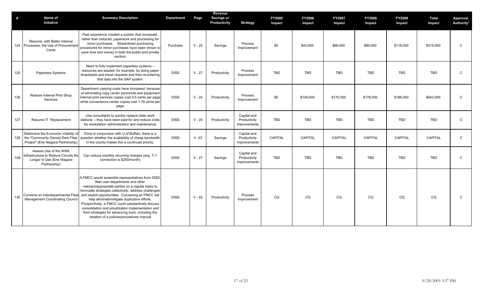| #   | Name of<br><b>Initiative</b>                                                                                      | <b>Summary Description</b>                                                                                                                                                                                                                                                                                                                                                                                                                                                                                           | <b>Department</b> | Page     | Revenue<br>Savings or<br>Productivity | <b>Strategy</b>                             | FY2005<br>Impact | <b>FY2006</b><br>Impact | <b>FY2007</b><br>Impact | <b>FY2008</b><br>Impact | FY2009<br>Impact | <b>Total</b><br>Impact | Approval<br>Authority* |
|-----|-------------------------------------------------------------------------------------------------------------------|----------------------------------------------------------------------------------------------------------------------------------------------------------------------------------------------------------------------------------------------------------------------------------------------------------------------------------------------------------------------------------------------------------------------------------------------------------------------------------------------------------------------|-------------------|----------|---------------------------------------|---------------------------------------------|------------------|-------------------------|-------------------------|-------------------------|------------------|------------------------|------------------------|
|     | Resume, with Better Internal<br>124 Processes, the Use of Procurement<br>Cards                                    | Past experience created a system that increased,<br>rather than reduced, paperwork and processing for<br>minor purchases. Streamlined purchasing<br>procedures for minor purchases have been shown to<br>save time and money in both the public and private<br>sectors                                                                                                                                                                                                                                               | Purchase          | $V - 22$ | Savings                               | Process<br>Improvement                      | \$0              | \$43,000                | \$66,000                | \$90,000                | \$116,000        | \$315,000              | $\mathsf C$            |
| 125 | Paperless Systems                                                                                                 | Need to fully implement paperless systems -<br>resources are wasted, for example, by doing paper<br>timesheets and travel requests and then re-entering<br>that data into the SAP system                                                                                                                                                                                                                                                                                                                             | <b>DISS</b>       | $V - 27$ | Productivity                          | Process<br>Improvement                      | <b>TBD</b>       | TBD                     | <b>TBD</b>              | TBD                     | <b>TBD</b>       | TBD                    | C                      |
| 126 | Restore Internal Print Shop<br>Services                                                                           | Department copying costs have increased because<br>of eliminating copy center personnel and equipment<br>Internal print services copies cost 0.5 cents per page<br>while convenience center copies cost 1.78 cents per<br>page                                                                                                                                                                                                                                                                                       | <b>DISS</b>       | $V - 24$ | Productivity                          | Process<br>Improvement                      | \$0              | \$109,000               | \$170,000               | \$178,000               | \$186,000        | \$643,000              | C                      |
| 127 | Resume IT Replacement                                                                                             | Use consultants to quickly replace older work<br>stations -- they have been paid for and reduce costs<br>for workstation administration and maintenance                                                                                                                                                                                                                                                                                                                                                              | <b>DISS</b>       | $V - 24$ | Productivity                          | Capital and<br>Productivity<br>Improvements | <b>TBD</b>       | <b>TBD</b>              | <b>TBD</b>              | <b>TBD</b>              | <b>TBD</b>       | TBD                    | $\mathsf{C}$           |
|     | Determine the Economic Viability of<br>128 the "Community Owned Dark Fiber<br>Project" (Erie Niagara Partnership) | Done in conjunction with U of Buffalo, there is a<br>question whether the availability of cheap bandwidth<br>in the county makes this a continued priority.                                                                                                                                                                                                                                                                                                                                                          | <b>DISS</b>       | $V - 23$ | Savings                               | Capital and<br>Productivity<br>Improvements | <b>CAPITAL</b>   | <b>CAPITAL</b>          | CAPITAL                 | <b>CAPITAL</b>          | CAPITAL          | CAPITAL                | $\mathsf C$            |
| 129 | Assess Use of the WAN<br>Infrastructure to Reduce Circuits No<br>Longer in Use (Erie Niagara<br>Partnership)      | Can reduce monthly recurring charges (avg. T-1<br>connection is \$250/month)                                                                                                                                                                                                                                                                                                                                                                                                                                         | <b>DISS</b>       | $V - 27$ | Savings                               | Capital and<br>Productivity<br>Improvements | <b>TBD</b>       | <b>TBD</b>              | <b>TBD</b>              | <b>TBD</b>              | <b>TBD</b>       | <b>TBD</b>             | $\mathsf{C}$           |
| 130 | Convene an Interdepartmental Fleet<br><b>Management Coordinating Council</b>                                      | A FMCC would assemble representatives from DISS,<br>fleet user departments and other<br>relevant/appropriate parties on a regular basis to<br>formulate strategies collectively, address challenges<br>and exploit opportunities. Convening an FMCC will<br>help eliminate/mitigate duplicative efforts.<br>Prospectively, a FMCC could substantively discuss<br>consolidation and privatization implementation and<br>form strategies for advancing such, including the<br>creation of a policies/procedures manual | <b>DISS</b>       | $V - 42$ | Productivity                          | Process<br>Improvement                      | CQ               | CQ                      | CQ                      | CQ                      | CQ               | CQ                     | C                      |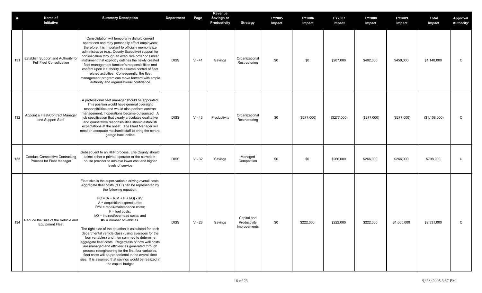| #   | <b>Name of</b><br>Initiative                                           | <b>Summary Description</b>                                                                                                                                                                                                                                                                                                                                                                                                                                                                                                                                                                                                                                                                                                                                                                                           | <b>Department</b> | Page     | Revenue<br><b>Savings or</b><br>Productivity | <b>Strategy</b>                             | FY2005<br>Impact | <b>FY2006</b><br>Impact | <b>FY2007</b><br>Impact | <b>FY2008</b><br>Impact | FY2009<br>Impact | <b>Total</b><br>Impact | Approval<br>Authority* |
|-----|------------------------------------------------------------------------|----------------------------------------------------------------------------------------------------------------------------------------------------------------------------------------------------------------------------------------------------------------------------------------------------------------------------------------------------------------------------------------------------------------------------------------------------------------------------------------------------------------------------------------------------------------------------------------------------------------------------------------------------------------------------------------------------------------------------------------------------------------------------------------------------------------------|-------------------|----------|----------------------------------------------|---------------------------------------------|------------------|-------------------------|-------------------------|-------------------------|------------------|------------------------|------------------------|
| 131 | Establish Support and Authority for<br><b>Full Fleet Consolidation</b> | Consolidation will temporarily disturb current<br>operations and may personally affect employees;<br>therefore, it is important to officially memorialize<br>administrative (e.g., County Executive) support for<br>consolidation through an executive order or similar<br>instrument that explicitly outlines the newly created<br>fleet management function's responsibilities and<br>confers upon it authority to assume control of fleet<br>related activities. Consequently, the fleet<br>management program can move forward with ample<br>authority and organizational confidence                                                                                                                                                                                                                             | <b>DISS</b>       | $V - 41$ | Savings                                      | Organizational<br>Restructuring             | \$0              | \$0                     | \$287,000               | \$402,000               | \$459,000        | \$1,148,000            | $\mathsf C$            |
| 132 | Appoint a Fleet/Contract Manager<br>and Support Staff                  | A professional fleet manager should be appointed.<br>This position would have general oversight<br>responsibilities and would also perform contract<br>management, if operations became outsourced. A<br>job specification that clearly articulates qualitative<br>and quantitative responsibilities should establish<br>expectations at the onset. The Fleet Manager will<br>need an adequate mechanic staff to bring the centra<br>garage back online                                                                                                                                                                                                                                                                                                                                                              | <b>DISS</b>       | $V - 43$ | Productivity                                 | Organizational<br>Restructuring             | \$0              | (\$277,000)             | $(\$277,000)$           | (\$277,000)             | (\$277,000)      | (\$1,108,000)          | C                      |
| 133 | <b>Conduct Competitive Contracting</b><br>Process for Fleet Manager    | Subsequent to an RFP process, Erie County should<br>select either a private operator or the current in-<br>house provider to achieve lower cost and higher<br>levels of service                                                                                                                                                                                                                                                                                                                                                                                                                                                                                                                                                                                                                                      | <b>DISS</b>       | $V - 32$ | Savings                                      | Managed<br>Competition                      | \$0              | \$0                     | \$266,000               | \$266,000               | \$266,000        | \$798,000              | U                      |
| 134 | Reduce the Size of the Vehicle and<br><b>Equipment Fleet</b>           | Fleet size is the super-variable driving overall costs<br>Aggregate fleet costs ("FC") can be represented by<br>the following equation:<br>$FC = [A + R/M + F + I/O] \times #V$<br>A = acquisition expenditures;<br>R/M = repair/maintenance costs;<br>$F = fuel costs;$<br>I/O = indirect/overhead costs: and<br>$\#V$ = number of vehicles.<br>The right side of the equation is calculated for each<br>departmental vehicle class (using averages for the<br>four variables) and then summed to determine<br>aggregate fleet costs. Regardless of how well costs<br>are managed and efficiencies generated through<br>process reengineering for the first four variables,<br>fleet costs will be proportional to the overall fleet<br>size. It is assumed that savings would be realized in<br>the capital budget | <b>DISS</b>       | $V - 28$ | Savings                                      | Capital and<br>Productivity<br>Improvements | \$0              | \$222,000               | \$222,000               | \$222,000               | \$1,665,000      | \$2,331,000            | C                      |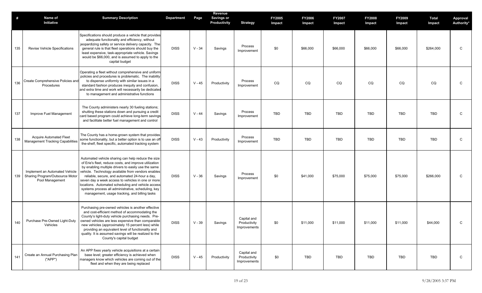| #   | Name of<br>Initiative                                                                | <b>Summary Description</b>                                                                                                                                                                                                                                                                                                                                                                                                                                                                      | <b>Department</b> | Page     | Revenue<br><b>Savings or</b><br>Productivity | <b>Strategy</b>                             | <b>FY2005</b><br>Impact | <b>FY2006</b><br>Impact | <b>FY2007</b><br>Impact | <b>FY2008</b><br>Impact | <b>FY2009</b><br>Impact | Total<br>Impact | Approval<br>Authority* |
|-----|--------------------------------------------------------------------------------------|-------------------------------------------------------------------------------------------------------------------------------------------------------------------------------------------------------------------------------------------------------------------------------------------------------------------------------------------------------------------------------------------------------------------------------------------------------------------------------------------------|-------------------|----------|----------------------------------------------|---------------------------------------------|-------------------------|-------------------------|-------------------------|-------------------------|-------------------------|-----------------|------------------------|
| 135 | <b>Revise Vehicle Specifications</b>                                                 | Specifications should produce a vehicle that provides<br>adequate functionality and efficiency, without<br>jeopardizing safety or service delivery capacity. The<br>general rule is that fleet operations should buy the<br>least expensive, task-appropriate vehicle. Savings<br>would be \$66,000, and is assumed to apply to the<br>capital budget                                                                                                                                           | <b>DISS</b>       | $V - 34$ | Savings                                      | Process<br>Improvement                      | \$0                     | \$66,000                | \$66,000                | \$66,000                | \$66,000                | \$264,000       | C                      |
| 136 | Create Comprehensive Policies and<br>Procedures                                      | Operating a fleet without comprehensive and uniform<br>policies and procedures is problematic. The inability<br>to dispense uniformly with similar issues in a<br>standard fashion produces inequity and confusion,<br>and extra time and work will necessarily be dedicated<br>to management and administrative functions                                                                                                                                                                      | <b>DISS</b>       | $V - 45$ | Productivity                                 | Process<br>Improvement                      | CQ                      | CQ                      | CQ                      | CQ                      | CQ                      | CQ              | $\mathsf{C}$           |
| 137 | Improve Fuel Management                                                              | The County administers nearly 30 fueling stations;<br>shutting these stations down and pursuing a credit<br>card based program could achieve long-term savings<br>and facilitate better fuel management and control                                                                                                                                                                                                                                                                             | <b>DISS</b>       | $V - 44$ | Savings                                      | Process<br>Improvement                      | TBD                     | <b>TBD</b>              | <b>TBD</b>              | <b>TBD</b>              | <b>TBD</b>              | <b>TBD</b>      | C                      |
| 138 | <b>Acquire Automated Fleet</b><br><b>Management Tracking Capabilities</b>            | The County has a home-grown system that provides<br>some functionality, but a better option is to use an off<br>the-shelf, fleet specific, automated tracking system                                                                                                                                                                                                                                                                                                                            | <b>DISS</b>       | $V - 43$ | Productivity                                 | Process<br>Improvement                      | TBD                     | <b>TBD</b>              | <b>TBD</b>              | TBD                     | <b>TBD</b>              | <b>TBD</b>      | C                      |
| 139 | Implement an Automated Vehicle<br>Sharing Program/Outsource Motor<br>Pool Management | Automated vehicle sharing can help reduce the size<br>of Erie's fleet, reduce costs, and improve utilization<br>by enabling multiple drivers to easily use the same<br>vehicle. Technology available from vendors enables<br>reliable, secure, and automated 24-hour a day,<br>seven day a week access to vehicles in one or more<br>locations. Automated scheduling and vehicle access<br>systems process all administrative, scheduling, key<br>management, usage tracking, and billing tasks | <b>DISS</b>       | $V - 36$ | Savings                                      | Process<br>Improvement                      | \$0                     | \$41,000                | \$75,000                | \$75,000                | \$75,000                | \$266,000       | C                      |
| 140 | Purchase Pre-Owned Light-Duty<br>Vehicles                                            | Purchasing pre-owned vehicles is another effective<br>and cost-efficient method of accommodating the<br>County's light-duty vehicle purchasing needs. Pre-<br>owned vehicles are less expensive than comparable<br>new vehicles (approximately 15 percent less) while<br>providing an equivalent level of functionality and<br>quality. It is assumed savings will be realized to the<br>County's capital budget                                                                                | <b>DISS</b>       | $V - 39$ | Savings                                      | Capital and<br>Productivity<br>Improvements | \$0                     | \$11,000                | \$11,000                | \$11,000                | \$11,000                | \$44,000        | C                      |
| 141 | Create an Annual Purchasing Plan<br>("APP")                                          | An APP fixes yearly vehicle acquisitions at a certain<br>base level; greater efficiency is achieved when<br>managers know which vehicles are coming out of the<br>fleet and when they are being replaced                                                                                                                                                                                                                                                                                        | <b>DISS</b>       | $V - 45$ | Productivity                                 | Capital and<br>Productivity<br>Improvements | \$0                     | TBD                     | TBD                     | TBD                     | TBD                     | TBD             | $\mathsf{C}$           |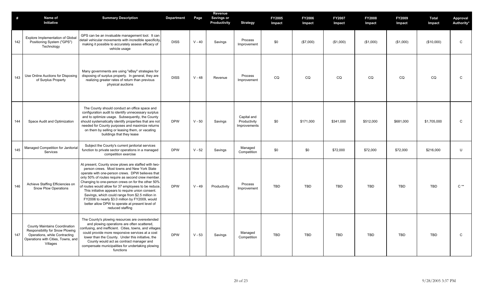| $\#$ | Name of<br>Initiative                                                                                                                                      | <b>Summary Description</b>                                                                                                                                                                                                                                                                                                                                                                                                                                                                                                                                  | <b>Department</b> | Page     | Revenue<br>Savings or<br>Productivity | <b>Strategy</b>                             | <b>FY2005</b><br>Impact | <b>FY2006</b><br>Impact | FY2007<br>Impact | FY2008<br>Impact | <b>FY2009</b><br>Impact | Total<br>Impact | Approval<br>Authority* |
|------|------------------------------------------------------------------------------------------------------------------------------------------------------------|-------------------------------------------------------------------------------------------------------------------------------------------------------------------------------------------------------------------------------------------------------------------------------------------------------------------------------------------------------------------------------------------------------------------------------------------------------------------------------------------------------------------------------------------------------------|-------------------|----------|---------------------------------------|---------------------------------------------|-------------------------|-------------------------|------------------|------------------|-------------------------|-----------------|------------------------|
| 142  | Explore Implementation of Globa<br>Positioning System ("GPS")<br>Technology                                                                                | GPS can be an invaluable management tool. It can<br>detail vehicular movements with incredible specificity,<br>making it possible to accurately assess efficacy of<br>vehicle usage                                                                                                                                                                                                                                                                                                                                                                         | <b>DISS</b>       | $V - 40$ | Savings                               | Process<br>Improvement                      | \$0                     | (\$7,000)               | (\$1,000)        | (\$1,000)        | (\$1,000)               | (\$10,000)      | $\mathsf C$            |
| 143  | Use Online Auctions for Disposing<br>of Surplus Property                                                                                                   | Many governments are using "eBay" strategies for<br>disposing of surplus property. In general, they are<br>realizing greater rates of return than previous<br>physical auctions                                                                                                                                                                                                                                                                                                                                                                             | <b>DISS</b>       | $V - 48$ | Revenue                               | Process<br>Improvement                      | CQ                      | CQ                      | CQ               | CQ               | CQ                      | CQ              | $\mathsf C$            |
| 144  | Space Audit and Optimization                                                                                                                               | The County should conduct an office space and<br>configuration audit to identify unnecessary surplus<br>and to optimize usage. Subsequently, the County<br>should systematically identify properties that are not<br>needed for County purposes and maximize returns<br>on them by selling or leasing them, or vacating<br>buildings that they lease                                                                                                                                                                                                        | <b>DPW</b>        | $V - 50$ | Savings                               | Capital and<br>Productivity<br>Improvements | \$0                     | \$171,000               | \$341,000        | \$512,000        | \$681.000               | \$1,705,000     | $\mathsf{C}$           |
| 145  | Managed Competition for Janitorial<br>Services                                                                                                             | Subject the County's current janitorial services<br>function to private sector operations in a managed<br>competition exercise                                                                                                                                                                                                                                                                                                                                                                                                                              | <b>DPW</b>        | $V - 52$ | Savings                               | Managed<br>Competition                      | \$0                     | \$0                     | \$72,000         | \$72,000         | \$72,000                | \$216,000       | $\cup$                 |
| 146  | Achieve Staffing Efficiencies on<br>Snow Plow Operations                                                                                                   | At present, County snow plows are staffed with two-<br>person crews. Most towns and New York State<br>operate with one-person crews. DPW believes that<br>only 50% of routes require as second crew member.<br>Changing to one-person crews on for the other 50%<br>of routes would allow for 37 employees to be reduce.<br>This initiative appears to require union consent.<br>Savings, which could range from \$2.5 million in<br>FY2006 to nearly \$3.0 million by FY2009, would<br>better allow DPW to operate at present level of<br>reduced staffing | <b>DPW</b>        | $V - 49$ | Productivity                          | Process<br>Improvement                      | TBD                     | <b>TBD</b>              | <b>TBD</b>       | <b>TBD</b>       | <b>TBD</b>              | <b>TBD</b>      | $C^{\ast\ast}$         |
| 147  | <b>County Maintains Coordination</b><br>Responsibility for Snow Plowing<br>Operations, while Contracting<br>Operations with Cities, Towns, and<br>Villages | The County's plowing resources are overextended<br>and plowing operations are often scattered,<br>confusing, and inefficient. Cities, towns, and villages<br>could provide more responsive services at a cost<br>lower than the County. Under this initiative, the<br>County would act as contract manager and<br>compensate municipalities for undertaking plowing<br>functions                                                                                                                                                                            | <b>DPW</b>        | $V - 53$ | Savings                               | Managed<br>Competition                      | <b>TBD</b>              | <b>TBD</b>              | <b>TBD</b>       | <b>TBD</b>       | <b>TBD</b>              | <b>TBD</b>      | $\mathsf{C}$           |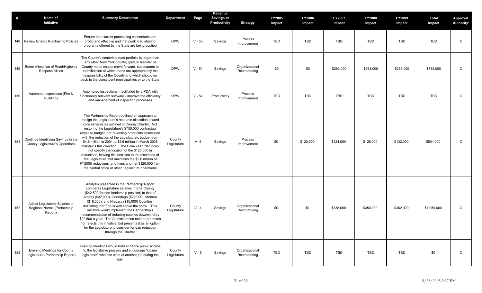| #   | Name of<br>Initiative                                                         | <b>Summary Description</b>                                                                                                                                                                                                                                                                                                                                                                                                                                                                                                                                                                                                                                                                                               | Department            | Page     | Revenue<br><b>Savings or</b><br>Productivity | <b>Strategy</b>                 | <b>FY2005</b><br>Impact | <b>FY2006</b><br>Impact | <b>FY2007</b><br>Impact | <b>FY2008</b><br>Impact | <b>FY2009</b><br>Impact | Total<br>Impact | <b>Approval</b><br>Authority* |
|-----|-------------------------------------------------------------------------------|--------------------------------------------------------------------------------------------------------------------------------------------------------------------------------------------------------------------------------------------------------------------------------------------------------------------------------------------------------------------------------------------------------------------------------------------------------------------------------------------------------------------------------------------------------------------------------------------------------------------------------------------------------------------------------------------------------------------------|-----------------------|----------|----------------------------------------------|---------------------------------|-------------------------|-------------------------|-------------------------|-------------------------|-------------------------|-----------------|-------------------------------|
|     | 148 Review Energy Purchasing Policies                                         | Ensure that current purchasing consortiums are<br>broad and effective and that peak load sharing<br>programs offered by the State are being applied                                                                                                                                                                                                                                                                                                                                                                                                                                                                                                                                                                      | <b>DPW</b>            | $V - 53$ | Savings                                      | Process<br>Improvement          | TBD                     | <b>TBD</b>              | <b>TBD</b>              | TBD                     | <b>TBD</b>              | <b>TBD</b>      | C                             |
| 149 | Better Allocation of Road/Highway<br>Responsibilities                         | The County's centerline road portfolio is larger than<br>any other New York county; gradual transfer of<br>County roads should move forward, subsequent to<br>identification of which roads are appropriately the<br>responsibility of the County and which should go<br>back to the constituent municipalities or to the State                                                                                                                                                                                                                                                                                                                                                                                          | <b>DPW</b>            | $V - 51$ | Savings                                      | Organizational<br>Restructuring | \$0                     | \$0                     | \$263,000               | \$263,000               | \$263,000               | \$789,000       | C                             |
| 150 | Automate Inspections (Fire &<br>Building)                                     | Automated inspections - facilitated by a PDA with<br>functionally relevant software - improve the efficiency<br>and management of inspection processes                                                                                                                                                                                                                                                                                                                                                                                                                                                                                                                                                                   | <b>DPW</b>            | $V - 54$ | Productivity                                 | Process<br>Improvement          | TBD                     | <b>TBD</b>              | <b>TBD</b>              | TBD                     | <b>TBD</b>              | <b>TBD</b>      | C                             |
| 151 | Continue Identifying Savings in the<br><b>County Legislature's Operations</b> | The Partnership Report outlined an approach to<br>realign the Legislature's resource allocation toward<br>core services as outlined in County Charter. Not<br>restoring the Legislature's \$750,000 contractual<br>expense budget, nor reversing other cuts associated<br>with the reduction of the Legislature's budget from<br>\$4.6 million in 2004 to \$2.6 million in March 2005<br>maintains this direction. The Four-Year Plan does<br>not specify the location of the \$120,000 in<br>reductions, leaving this decision to the discretion of<br>the Legislature, but maintains the \$2.0 million of<br>FY2005 reductions, and trims another \$120,000 from<br>the central office or other Legislature operations | County<br>Legislature | $V - 4$  | Savings                                      | Process<br>Improvement          | \$0                     | \$120,000               | \$124,000               | \$128,000               | \$132,000               | \$504,000       | $\mathsf C$                   |
| 152 | Adjust Legislators' Salaries to<br>Regional Norms (Partnership<br>Report)     | Analysis presented in the Partnership Report<br>compares Legislature salaries in Erie County<br>(\$42,500 for non-leadership position) to that of<br>Albany (\$32,000), Onondaga (\$22,000), Monroe<br>(\$18,000), and Niagara (\$15,000) Counties,<br>indicating that Erie is well above the norm. This<br>initiative would implement the Partnership's<br>recommendation of reducing salaries downward by<br>\$22,500 a year. The Administration neither promotes<br>nor rejects this initiative, but presents it as an option<br>for the Legislature to consider for gap reduction<br>through the Charter                                                                                                             | County<br>Legislature | $V - 4$  | Savings                                      | Organizational<br>Restructuring | \$0                     | \$0                     | \$338,000               | \$350,000               | \$362,000               | \$1,050,000     | C                             |
| 153 | <b>Evening Meetings for County</b><br>Legislature (Partnership Report)        | Evening meetings would both enhance public access<br>to the legislative process and encourage "citizen<br>legislators" who can work at another job during the<br>day                                                                                                                                                                                                                                                                                                                                                                                                                                                                                                                                                     | County<br>Legislature | $V - 5$  | Savings                                      | Organizational<br>Restructuring | TBD                     | TBD                     | TBD                     | TBD                     | TBD                     | \$0             | $\mathsf{C}$                  |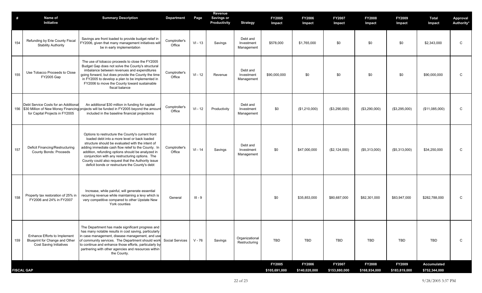| Savings are front loaded to provide budget relief in<br>Debt and<br>Refunding by Erie County Fiscal<br>Comptroller's<br>FY2006, given that many management initiatives will<br>154<br>$VI - 13$<br>\$578,000<br>\$1,765,000<br>\$0<br>\$0<br>\$0<br>\$2,343,000<br>Savings<br>Investment<br><b>Stability Authority</b><br>Office<br>be in early implementation<br>Management<br>The use of tobacco proceeds to close the FY2005<br>Budget Gap does not solve the County's structural<br>imbalance between revenues and expenditures<br>Debt and<br>Use Tobacco Proceeds to Close<br>Comptroller's<br>155<br>going forward, but does provide the County the time<br>$VI - 12$<br>\$0<br>\$0<br>Revenue<br>Investment<br>\$90,000,000<br>\$0<br>\$0<br><b>FY2005 Gap</b><br>Office<br>in FY2005 to develop a plan to be implemented in<br>Management<br>FY2006 to move the County toward sustainable<br>fiscal balance<br>An additional \$30 million in funding for capital<br>Debt Service Costs for an Additional<br>Debt and<br>Comptroller's<br>156 \$30 Million of New Money Financing projects will be funded in FY2005 beyond the amoun<br>$VI - 12$<br>\$0<br>(\$3,290,000)<br>Productivity<br>Investment<br>(\$1,210,000)<br>(\$3,290,000)<br>(\$3,295,000)<br>Office<br>for Capital Projects in FY2005<br>included in the baseline financial projections<br>Management<br>Options to restructure the County's current front<br>loaded debt into a more level or back loaded<br>structure should be evaluated with the intent of<br>Debt and<br>Deficit Financing/Restructuring<br>adding immediate cash flow relief to the County. In<br>Comptroller's<br>157<br>$VI - 14$<br>\$0<br>Savings<br>Investment<br>\$47,000,000<br>(\$2,124,000)<br>(\$5,313,000)<br>(\$5,313,000)<br><b>County Bonds: Proceeds</b><br>Office<br>addition, refunding options should be analyzed in<br>Management<br>conjunction with any restructuring options. The<br>County could also request that the Authority issue<br>deficit bonds or restructure the County's debt<br>Increase, while painful, will generate essential<br>recurring revenue while maintaining a levy which is<br>Property tax restoration of 25% in<br>158<br>General<br>$III - 9$<br>\$0<br>\$35,853,000<br>\$80,687,000<br>\$82,301,000<br>\$83,947,000<br>FY2006 and 24% in FY2007<br>very competitive compared to other Upstate New<br>York counties<br>The Department has made significant progress and<br>has many notable results in cost saving, particularly<br>in case management, disease management, and use<br>Enhance Efforts to Implement<br>Organizational<br>Blueprint for Change and Other<br>of community services. The Department should work<br>$V - 76$<br>TBD<br><b>TBD</b><br>TBD<br>TBD<br><b>TBD</b><br>TBD<br>159<br>Savings<br>Social Services<br>Restructuring<br><b>Cost Saving Initiatives</b><br>to continue and enhance those efforts, particularly by<br>partnering with other agencies and resources within<br>the County.<br>FY2005<br><b>FY2006</b><br>FY2007<br>FY2008<br>FY2009 | # | Name of<br>Initiative | <b>Summary Description</b> | Department | Page | Revenue<br><b>Savings or</b><br>Productivity | <b>Strategy</b> | <b>FY2005</b><br>Impact | <b>FY2006</b><br>Impact | <b>FY2007</b><br>Impact | <b>FY2008</b><br>Impact | FY2009<br>Impact | Total<br>Impact              | <b>Approval</b><br>Authority* |
|------------------------------------------------------------------------------------------------------------------------------------------------------------------------------------------------------------------------------------------------------------------------------------------------------------------------------------------------------------------------------------------------------------------------------------------------------------------------------------------------------------------------------------------------------------------------------------------------------------------------------------------------------------------------------------------------------------------------------------------------------------------------------------------------------------------------------------------------------------------------------------------------------------------------------------------------------------------------------------------------------------------------------------------------------------------------------------------------------------------------------------------------------------------------------------------------------------------------------------------------------------------------------------------------------------------------------------------------------------------------------------------------------------------------------------------------------------------------------------------------------------------------------------------------------------------------------------------------------------------------------------------------------------------------------------------------------------------------------------------------------------------------------------------------------------------------------------------------------------------------------------------------------------------------------------------------------------------------------------------------------------------------------------------------------------------------------------------------------------------------------------------------------------------------------------------------------------------------------------------------------------------------------------------------------------------------------------------------------------------------------------------------------------------------------------------------------------------------------------------------------------------------------------------------------------------------------------------------------------------------------------------------------------------------------------------------------------------------------------------------------------------------------------------------------------------------------------------------------------------------------------------------------------------------------------------------------------------------------------------------------------------------------------------------------------------------------------|---|-----------------------|----------------------------|------------|------|----------------------------------------------|-----------------|-------------------------|-------------------------|-------------------------|-------------------------|------------------|------------------------------|-------------------------------|
|                                                                                                                                                                                                                                                                                                                                                                                                                                                                                                                                                                                                                                                                                                                                                                                                                                                                                                                                                                                                                                                                                                                                                                                                                                                                                                                                                                                                                                                                                                                                                                                                                                                                                                                                                                                                                                                                                                                                                                                                                                                                                                                                                                                                                                                                                                                                                                                                                                                                                                                                                                                                                                                                                                                                                                                                                                                                                                                                                                                                                                                                                    |   |                       |                            |            |      |                                              |                 |                         |                         |                         |                         |                  |                              | $\mathsf{C}$                  |
|                                                                                                                                                                                                                                                                                                                                                                                                                                                                                                                                                                                                                                                                                                                                                                                                                                                                                                                                                                                                                                                                                                                                                                                                                                                                                                                                                                                                                                                                                                                                                                                                                                                                                                                                                                                                                                                                                                                                                                                                                                                                                                                                                                                                                                                                                                                                                                                                                                                                                                                                                                                                                                                                                                                                                                                                                                                                                                                                                                                                                                                                                    |   |                       |                            |            |      |                                              |                 |                         |                         |                         |                         |                  | \$90,000,000                 | C                             |
|                                                                                                                                                                                                                                                                                                                                                                                                                                                                                                                                                                                                                                                                                                                                                                                                                                                                                                                                                                                                                                                                                                                                                                                                                                                                                                                                                                                                                                                                                                                                                                                                                                                                                                                                                                                                                                                                                                                                                                                                                                                                                                                                                                                                                                                                                                                                                                                                                                                                                                                                                                                                                                                                                                                                                                                                                                                                                                                                                                                                                                                                                    |   |                       |                            |            |      |                                              |                 |                         |                         |                         |                         |                  | (\$11,085,000)               | $\mathsf{C}$                  |
|                                                                                                                                                                                                                                                                                                                                                                                                                                                                                                                                                                                                                                                                                                                                                                                                                                                                                                                                                                                                                                                                                                                                                                                                                                                                                                                                                                                                                                                                                                                                                                                                                                                                                                                                                                                                                                                                                                                                                                                                                                                                                                                                                                                                                                                                                                                                                                                                                                                                                                                                                                                                                                                                                                                                                                                                                                                                                                                                                                                                                                                                                    |   |                       |                            |            |      |                                              |                 |                         |                         |                         |                         |                  | \$34,250,000                 | $\mathsf{C}$                  |
|                                                                                                                                                                                                                                                                                                                                                                                                                                                                                                                                                                                                                                                                                                                                                                                                                                                                                                                                                                                                                                                                                                                                                                                                                                                                                                                                                                                                                                                                                                                                                                                                                                                                                                                                                                                                                                                                                                                                                                                                                                                                                                                                                                                                                                                                                                                                                                                                                                                                                                                                                                                                                                                                                                                                                                                                                                                                                                                                                                                                                                                                                    |   |                       |                            |            |      |                                              |                 |                         |                         |                         |                         |                  | \$282,788,000                | $\mathsf{C}$                  |
|                                                                                                                                                                                                                                                                                                                                                                                                                                                                                                                                                                                                                                                                                                                                                                                                                                                                                                                                                                                                                                                                                                                                                                                                                                                                                                                                                                                                                                                                                                                                                                                                                                                                                                                                                                                                                                                                                                                                                                                                                                                                                                                                                                                                                                                                                                                                                                                                                                                                                                                                                                                                                                                                                                                                                                                                                                                                                                                                                                                                                                                                                    |   |                       |                            |            |      |                                              |                 |                         |                         |                         |                         |                  |                              | $\mathsf{C}$                  |
| <b>FISCAL GAP</b><br>\$105,691,000<br>\$168,934,000<br>\$183,819,000<br>\$140,020,000                                                                                                                                                                                                                                                                                                                                                                                                                                                                                                                                                                                                                                                                                                                                                                                                                                                                                                                                                                                                                                                                                                                                                                                                                                                                                                                                                                                                                                                                                                                                                                                                                                                                                                                                                                                                                                                                                                                                                                                                                                                                                                                                                                                                                                                                                                                                                                                                                                                                                                                                                                                                                                                                                                                                                                                                                                                                                                                                                                                              |   |                       |                            |            |      |                                              |                 |                         |                         | \$153,880,000           |                         |                  | Accumulated<br>\$752,344,000 |                               |